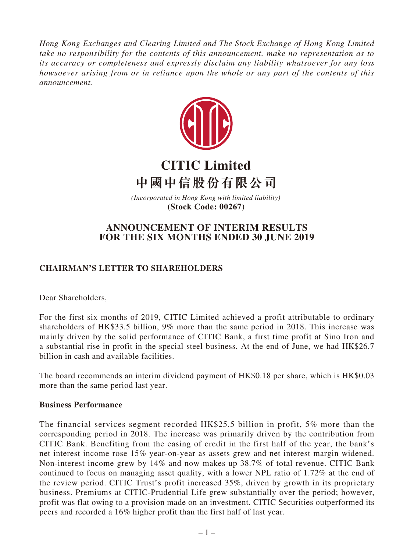*Hong Kong Exchanges and Clearing Limited and The Stock Exchange of Hong Kong Limited take no responsibility for the contents of this announcement, make no representation as to its accuracy or completeness and expressly disclaim any liability whatsoever for any loss howsoever arising from or in reliance upon the whole or any part of the contents of this announcement.*



# **CITIC Limited 中國中信股份有限公司**

*(Incorporated in Hong Kong with limited liability)*  **(Stock Code: 00267)**

## **ANNOUNCEMENT OF INTERIM RESULTS FOR THE SIX MONTHS ENDED 30 JUNE 2019**

## **CHAIRMAN'S LETTER TO SHAREHOLDERS**

Dear Shareholders,

For the first six months of 2019, CITIC Limited achieved a profit attributable to ordinary shareholders of HK\$33.5 billion, 9% more than the same period in 2018. This increase was mainly driven by the solid performance of CITIC Bank, a first time profit at Sino Iron and a substantial rise in profit in the special steel business. At the end of June, we had HK\$26.7 billion in cash and available facilities.

The board recommends an interim dividend payment of HK\$0.18 per share, which is HK\$0.03 more than the same period last year.

## **Business Performance**

The financial services segment recorded HK\$25.5 billion in profit, 5% more than the corresponding period in 2018. The increase was primarily driven by the contribution from CITIC Bank. Benefiting from the easing of credit in the first half of the year, the bank's net interest income rose 15% year-on-year as assets grew and net interest margin widened. Non-interest income grew by 14% and now makes up 38.7% of total revenue. CITIC Bank continued to focus on managing asset quality, with a lower NPL ratio of 1.72% at the end of the review period. CITIC Trust's profit increased 35%, driven by growth in its proprietary business. Premiums at CITIC-Prudential Life grew substantially over the period; however, profit was flat owing to a provision made on an investment. CITIC Securities outperformed its peers and recorded a 16% higher profit than the first half of last year.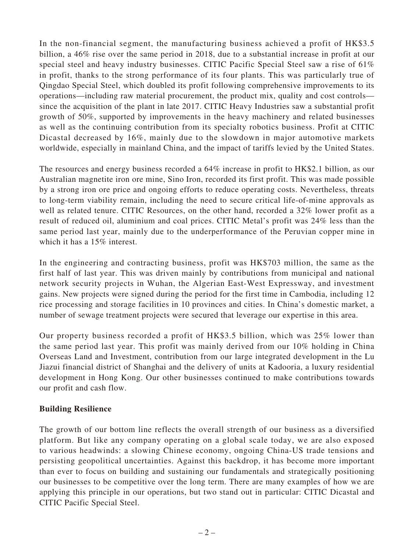In the non-financial segment, the manufacturing business achieved a profit of HK\$3.5 billion, a 46% rise over the same period in 2018, due to a substantial increase in profit at our special steel and heavy industry businesses. CITIC Pacific Special Steel saw a rise of 61% in profit, thanks to the strong performance of its four plants. This was particularly true of Qingdao Special Steel, which doubled its profit following comprehensive improvements to its operations—including raw material procurement, the product mix, quality and cost controls since the acquisition of the plant in late 2017. CITIC Heavy Industries saw a substantial profit growth of 50%, supported by improvements in the heavy machinery and related businesses as well as the continuing contribution from its specialty robotics business. Profit at CITIC Dicastal decreased by 16%, mainly due to the slowdown in major automotive markets worldwide, especially in mainland China, and the impact of tariffs levied by the United States.

The resources and energy business recorded a 64% increase in profit to HK\$2.1 billion, as our Australian magnetite iron ore mine, Sino Iron, recorded its first profit. This was made possible by a strong iron ore price and ongoing efforts to reduce operating costs. Nevertheless, threats to long-term viability remain, including the need to secure critical life-of-mine approvals as well as related tenure. CITIC Resources, on the other hand, recorded a 32% lower profit as a result of reduced oil, aluminium and coal prices. CITIC Metal's profit was 24% less than the same period last year, mainly due to the underperformance of the Peruvian copper mine in which it has a 15% interest.

In the engineering and contracting business, profit was HK\$703 million, the same as the first half of last year. This was driven mainly by contributions from municipal and national network security projects in Wuhan, the Algerian East-West Expressway, and investment gains. New projects were signed during the period for the first time in Cambodia, including 12 rice processing and storage facilities in 10 provinces and cities. In China's domestic market, a number of sewage treatment projects were secured that leverage our expertise in this area.

Our property business recorded a profit of HK\$3.5 billion, which was 25% lower than the same period last year. This profit was mainly derived from our 10% holding in China Overseas Land and Investment, contribution from our large integrated development in the Lu Jiazui financial district of Shanghai and the delivery of units at Kadooria, a luxury residential development in Hong Kong. Our other businesses continued to make contributions towards our profit and cash flow.

## **Building Resilience**

The growth of our bottom line reflects the overall strength of our business as a diversified platform. But like any company operating on a global scale today, we are also exposed to various headwinds: a slowing Chinese economy, ongoing China-US trade tensions and persisting geopolitical uncertainties. Against this backdrop, it has become more important than ever to focus on building and sustaining our fundamentals and strategically positioning our businesses to be competitive over the long term. There are many examples of how we are applying this principle in our operations, but two stand out in particular: CITIC Dicastal and CITIC Pacific Special Steel.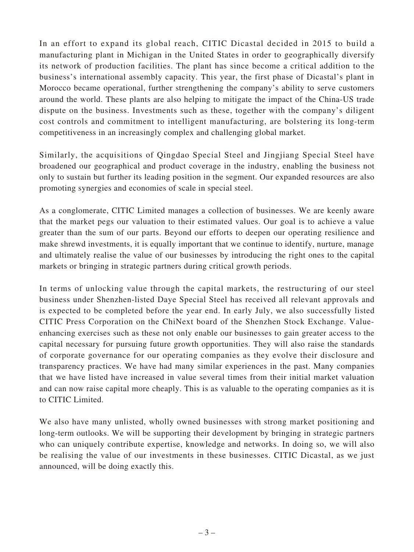In an effort to expand its global reach, CITIC Dicastal decided in 2015 to build a manufacturing plant in Michigan in the United States in order to geographically diversify its network of production facilities. The plant has since become a critical addition to the business's international assembly capacity. This year, the first phase of Dicastal's plant in Morocco became operational, further strengthening the company's ability to serve customers around the world. These plants are also helping to mitigate the impact of the China-US trade dispute on the business. Investments such as these, together with the company's diligent cost controls and commitment to intelligent manufacturing, are bolstering its long-term competitiveness in an increasingly complex and challenging global market.

Similarly, the acquisitions of Qingdao Special Steel and Jingjiang Special Steel have broadened our geographical and product coverage in the industry, enabling the business not only to sustain but further its leading position in the segment. Our expanded resources are also promoting synergies and economies of scale in special steel.

As a conglomerate, CITIC Limited manages a collection of businesses. We are keenly aware that the market pegs our valuation to their estimated values. Our goal is to achieve a value greater than the sum of our parts. Beyond our efforts to deepen our operating resilience and make shrewd investments, it is equally important that we continue to identify, nurture, manage and ultimately realise the value of our businesses by introducing the right ones to the capital markets or bringing in strategic partners during critical growth periods.

In terms of unlocking value through the capital markets, the restructuring of our steel business under Shenzhen-listed Daye Special Steel has received all relevant approvals and is expected to be completed before the year end. In early July, we also successfully listed CITIC Press Corporation on the ChiNext board of the Shenzhen Stock Exchange. Valueenhancing exercises such as these not only enable our businesses to gain greater access to the capital necessary for pursuing future growth opportunities. They will also raise the standards of corporate governance for our operating companies as they evolve their disclosure and transparency practices. We have had many similar experiences in the past. Many companies that we have listed have increased in value several times from their initial market valuation and can now raise capital more cheaply. This is as valuable to the operating companies as it is to CITIC Limited.

We also have many unlisted, wholly owned businesses with strong market positioning and long-term outlooks. We will be supporting their development by bringing in strategic partners who can uniquely contribute expertise, knowledge and networks. In doing so, we will also be realising the value of our investments in these businesses. CITIC Dicastal, as we just announced, will be doing exactly this.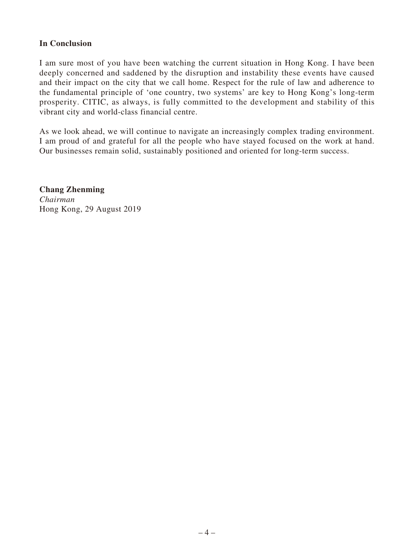### **In Conclusion**

I am sure most of you have been watching the current situation in Hong Kong. I have been deeply concerned and saddened by the disruption and instability these events have caused and their impact on the city that we call home. Respect for the rule of law and adherence to the fundamental principle of 'one country, two systems' are key to Hong Kong's long-term prosperity. CITIC, as always, is fully committed to the development and stability of this vibrant city and world-class financial centre.

As we look ahead, we will continue to navigate an increasingly complex trading environment. I am proud of and grateful for all the people who have stayed focused on the work at hand. Our businesses remain solid, sustainably positioned and oriented for long-term success.

**Chang Zhenming** *Chairman* Hong Kong, 29 August 2019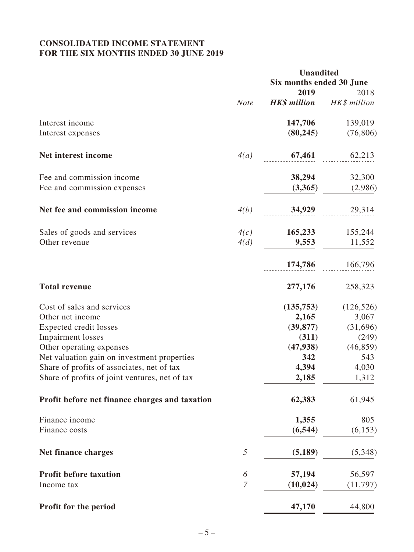## **CONSOLIDATED INCOME STATEMENT FOR THE SIX MONTHS ENDED 30 JUNE 2019**

|                                                |                | <b>Unaudited</b>         |              |  |  |
|------------------------------------------------|----------------|--------------------------|--------------|--|--|
|                                                |                | Six months ended 30 June |              |  |  |
|                                                |                | 2019                     | 2018         |  |  |
|                                                | <b>Note</b>    | <b>HK\$</b> million      | HK\$ million |  |  |
| Interest income                                |                | 147,706                  | 139,019      |  |  |
| Interest expenses                              |                | (80, 245)                | (76, 806)    |  |  |
| Net interest income                            | 4(a)           | 67,461                   | 62,213       |  |  |
| Fee and commission income                      |                | 38,294                   | 32,300       |  |  |
| Fee and commission expenses                    |                | (3,365)                  | (2,986)      |  |  |
| Net fee and commission income                  | 4(b)           | 34,929                   | 29,314       |  |  |
| Sales of goods and services                    | 4(c)           | 165,233                  | 155,244      |  |  |
| Other revenue                                  | 4(d)           | 9,553                    | 11,552       |  |  |
|                                                |                | 174,786                  | 166,796      |  |  |
| <b>Total revenue</b>                           |                | 277,176                  | 258,323      |  |  |
| Cost of sales and services                     |                | (135,753)                | (126, 526)   |  |  |
| Other net income                               |                | 2,165                    | 3,067        |  |  |
| Expected credit losses                         |                | (39, 877)                | (31,696)     |  |  |
| <b>Impairment</b> losses                       |                | (311)                    | (249)        |  |  |
| Other operating expenses                       |                | (47, 938)                | (46, 859)    |  |  |
| Net valuation gain on investment properties    |                | 342                      | 543          |  |  |
| Share of profits of associates, net of tax     |                | 4,394                    | 4,030        |  |  |
| Share of profits of joint ventures, net of tax |                | 2,185                    | 1,312        |  |  |
| Profit before net finance charges and taxation |                | 62,383                   | 61,945       |  |  |
| Finance income                                 |                | 1,355                    | 805          |  |  |
| Finance costs                                  |                | (6, 544)                 | (6, 153)     |  |  |
| Net finance charges                            | 5              | (5,189)                  | (5,348)      |  |  |
| <b>Profit before taxation</b>                  | 6              | 57,194                   | 56,597       |  |  |
| Income tax                                     | $\overline{7}$ | (10, 024)                | (11,797)     |  |  |
| Profit for the period                          |                | 47,170                   | 44,800       |  |  |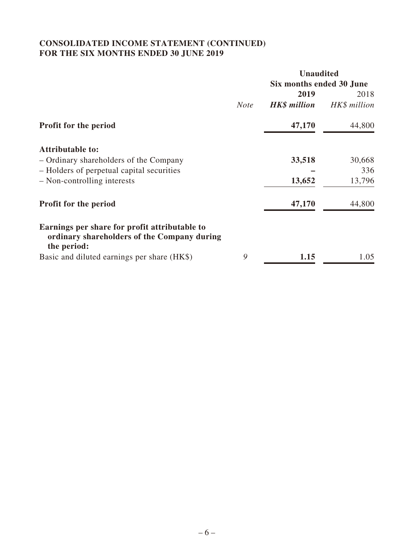## **CONSOLIDATED INCOME STATEMENT (CONTINUED) FOR THE SIX MONTHS ENDED 30 JUNE 2019**

|                                                                                                             |             | <b>Unaudited</b>         |              |  |  |
|-------------------------------------------------------------------------------------------------------------|-------------|--------------------------|--------------|--|--|
|                                                                                                             |             | Six months ended 30 June |              |  |  |
|                                                                                                             |             | 2019                     | 2018         |  |  |
|                                                                                                             | <b>Note</b> | <b>HK\$</b> million      | HK\$ million |  |  |
| <b>Profit for the period</b>                                                                                |             | 47,170                   | 44,800       |  |  |
| <b>Attributable to:</b>                                                                                     |             |                          |              |  |  |
| - Ordinary shareholders of the Company                                                                      |             | 33,518                   | 30,668       |  |  |
| - Holders of perpetual capital securities                                                                   |             |                          | 336          |  |  |
| - Non-controlling interests                                                                                 |             | 13,652                   | 13,796       |  |  |
| <b>Profit for the period</b>                                                                                |             | 47,170                   | 44,800       |  |  |
| Earnings per share for profit attributable to<br>ordinary shareholders of the Company during<br>the period: |             |                          |              |  |  |
| Basic and diluted earnings per share (HK\$)                                                                 | 9           | 1.15                     | 1.05         |  |  |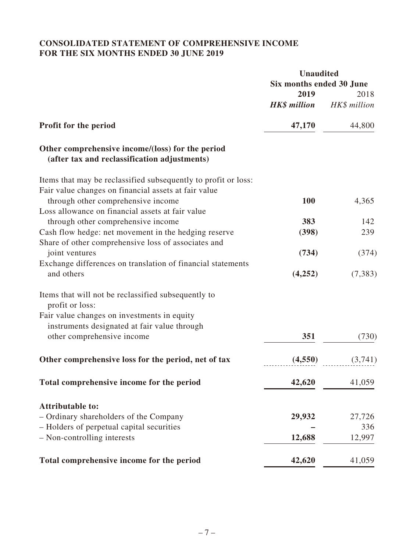## **CONSOLIDATED STATEMENT OF COMPREHENSIVE INCOME FOR THE SIX MONTHS ENDED 30 JUNE 2019**

|                                                                                                  | <b>Unaudited</b>         |              |
|--------------------------------------------------------------------------------------------------|--------------------------|--------------|
|                                                                                                  | Six months ended 30 June |              |
|                                                                                                  | 2019                     | 2018         |
|                                                                                                  | <b>HK\$</b> million      | HK\$ million |
| <b>Profit for the period</b>                                                                     | 47,170                   | 44,800       |
| Other comprehensive income/(loss) for the period<br>(after tax and reclassification adjustments) |                          |              |
| Items that may be reclassified subsequently to profit or loss:                                   |                          |              |
| Fair value changes on financial assets at fair value                                             |                          |              |
| through other comprehensive income                                                               | 100                      | 4,365        |
| Loss allowance on financial assets at fair value                                                 |                          |              |
| through other comprehensive income                                                               | 383                      | 142          |
| Cash flow hedge: net movement in the hedging reserve                                             | (398)                    | 239          |
| Share of other comprehensive loss of associates and                                              |                          |              |
| joint ventures                                                                                   | (734)                    | (374)        |
| Exchange differences on translation of financial statements                                      |                          |              |
| and others                                                                                       | (4,252)                  | (7, 383)     |
| Items that will not be reclassified subsequently to<br>profit or loss:                           |                          |              |
| Fair value changes on investments in equity                                                      |                          |              |
| instruments designated at fair value through                                                     |                          |              |
| other comprehensive income                                                                       | 351                      | (730)        |
| Other comprehensive loss for the period, net of tax                                              | (4,550)                  | (3,741)      |
| Total comprehensive income for the period                                                        | 42,620                   | 41,059       |
|                                                                                                  |                          |              |
| <b>Attributable to:</b>                                                                          |                          |              |
| - Ordinary shareholders of the Company                                                           | 29,932                   | 27,726       |
| - Holders of perpetual capital securities                                                        |                          | 336          |
| - Non-controlling interests                                                                      | 12,688                   | 12,997       |
| Total comprehensive income for the period                                                        | 42,620                   | 41,059       |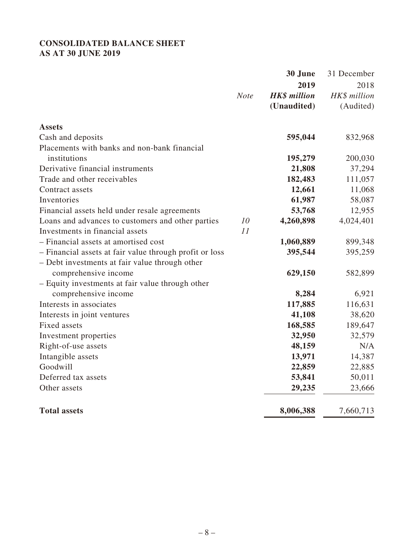## **CONSOLIDATED BALANCE SHEET AS AT 30 JUNE 2019**

|                                                         |             | 30 June             | 31 December  |
|---------------------------------------------------------|-------------|---------------------|--------------|
|                                                         |             | 2019                | 2018         |
|                                                         | <b>Note</b> | <b>HK\$</b> million | HK\$ million |
|                                                         |             | (Unaudited)         | (Audited)    |
| <b>Assets</b>                                           |             |                     |              |
| Cash and deposits                                       |             | 595,044             | 832,968      |
| Placements with banks and non-bank financial            |             |                     |              |
| institutions                                            |             | 195,279             | 200,030      |
| Derivative financial instruments                        |             | 21,808              | 37,294       |
| Trade and other receivables                             |             | 182,483             | 111,057      |
| Contract assets                                         |             | 12,661              | 11,068       |
| Inventories                                             |             | 61,987              | 58,087       |
| Financial assets held under resale agreements           |             | 53,768              | 12,955       |
| Loans and advances to customers and other parties       | 10          | 4,260,898           | 4,024,401    |
| Investments in financial assets                         | 11          |                     |              |
| - Financial assets at amortised cost                    |             | 1,060,889           | 899,348      |
| - Financial assets at fair value through profit or loss |             | 395,544             | 395,259      |
| - Debt investments at fair value through other          |             |                     |              |
| comprehensive income                                    |             | 629,150             | 582,899      |
| - Equity investments at fair value through other        |             |                     |              |
| comprehensive income                                    |             | 8,284               | 6,921        |
| Interests in associates                                 |             | 117,885             | 116,631      |
| Interests in joint ventures                             |             | 41,108              | 38,620       |
| Fixed assets                                            |             | 168,585             | 189,647      |
| Investment properties                                   |             | 32,950              | 32,579       |
| Right-of-use assets                                     |             | 48,159              | N/A          |
| Intangible assets                                       |             | 13,971              | 14,387       |
| Goodwill                                                |             | 22,859              | 22,885       |
| Deferred tax assets                                     |             | 53,841              | 50,011       |
| Other assets                                            |             | 29,235              | 23,666       |
| <b>Total assets</b>                                     |             | 8,006,388           | 7,660,713    |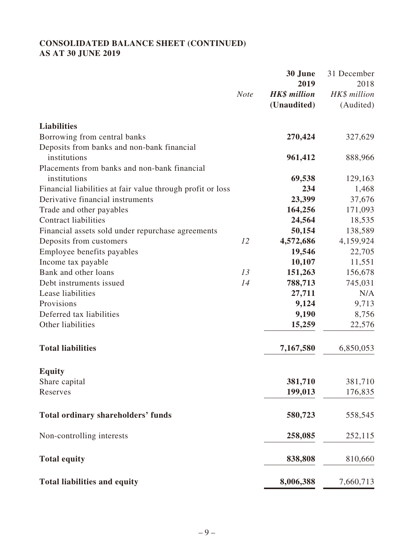## **CONSOLIDATED BALANCE SHEET (CONTINUED) AS AT 30 JUNE 2019**

|                                                            |             | 30 June             | 31 December  |
|------------------------------------------------------------|-------------|---------------------|--------------|
|                                                            |             | 2019                | 2018         |
|                                                            | <b>Note</b> | <b>HK\$</b> million | HK\$ million |
|                                                            |             | (Unaudited)         | (Audited)    |
| <b>Liabilities</b>                                         |             |                     |              |
| Borrowing from central banks                               |             | 270,424             | 327,629      |
| Deposits from banks and non-bank financial                 |             |                     |              |
| institutions                                               |             | 961,412             | 888,966      |
| Placements from banks and non-bank financial               |             |                     |              |
| institutions                                               |             | 69,538              | 129,163      |
| Financial liabilities at fair value through profit or loss |             | 234                 | 1,468        |
| Derivative financial instruments                           |             | 23,399              | 37,676       |
| Trade and other payables                                   |             | 164,256             | 171,093      |
| <b>Contract liabilities</b>                                |             | 24,564              | 18,535       |
| Financial assets sold under repurchase agreements          |             | 50,154              | 138,589      |
| Deposits from customers                                    | 12          | 4,572,686           | 4,159,924    |
| Employee benefits payables                                 |             | 19,546              | 22,705       |
| Income tax payable                                         |             | 10,107              | 11,551       |
| Bank and other loans                                       | 13          | 151,263             | 156,678      |
| Debt instruments issued                                    | 14          | 788,713             | 745,031      |
| Lease liabilities                                          |             | 27,711              | N/A          |
| Provisions                                                 |             | 9,124               | 9,713        |
| Deferred tax liabilities                                   |             | 9,190               | 8,756        |
| Other liabilities                                          |             | 15,259              | 22,576       |
| <b>Total liabilities</b>                                   |             | 7,167,580           | 6,850,053    |
| <b>Equity</b>                                              |             |                     |              |
| Share capital                                              |             | 381,710             | 381,710      |
| Reserves                                                   |             | 199,013             | 176,835      |
| <b>Total ordinary shareholders' funds</b>                  |             | 580,723             | 558,545      |
| Non-controlling interests                                  |             | 258,085             | 252,115      |
| <b>Total equity</b>                                        |             | 838,808             | 810,660      |
| <b>Total liabilities and equity</b>                        |             | 8,006,388           | 7,660,713    |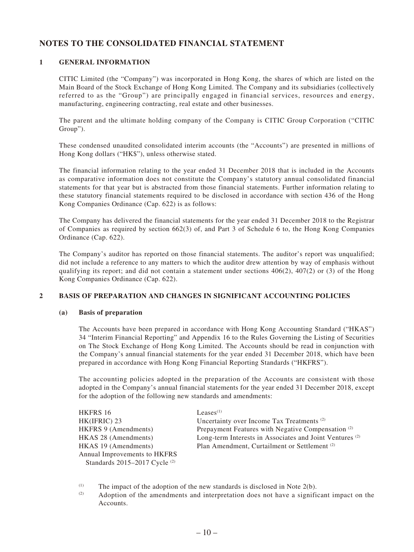## **NOTES TO THE CONSOLIDATED FINANCIAL STATEMENT**

### **1 GENERAL INFORMATION**

CITIC Limited (the "Company") was incorporated in Hong Kong, the shares of which are listed on the Main Board of the Stock Exchange of Hong Kong Limited. The Company and its subsidiaries (collectively referred to as the "Group") are principally engaged in financial services, resources and energy, manufacturing, engineering contracting, real estate and other businesses.

The parent and the ultimate holding company of the Company is CITIC Group Corporation ("CITIC Group").

These condensed unaudited consolidated interim accounts (the "Accounts") are presented in millions of Hong Kong dollars ("HK\$"), unless otherwise stated.

The financial information relating to the year ended 31 December 2018 that is included in the Accounts as comparative information does not constitute the Company's statutory annual consolidated financial statements for that year but is abstracted from those financial statements. Further information relating to these statutory financial statements required to be disclosed in accordance with section 436 of the Hong Kong Companies Ordinance (Cap. 622) is as follows:

The Company has delivered the financial statements for the year ended 31 December 2018 to the Registrar of Companies as required by section 662(3) of, and Part 3 of Schedule 6 to, the Hong Kong Companies Ordinance (Cap. 622).

The Company's auditor has reported on those financial statements. The auditor's report was unqualified; did not include a reference to any matters to which the auditor drew attention by way of emphasis without qualifying its report; and did not contain a statement under sections  $406(2)$ ,  $407(2)$  or (3) of the Hong Kong Companies Ordinance (Cap. 622).

### **2 BASIS OF PREPARATION AND CHANGES IN SIGNIFICANT ACCOUNTING POLICIES**

### **(a) Basis of preparation**

The Accounts have been prepared in accordance with Hong Kong Accounting Standard ("HKAS") 34 "Interim Financial Reporting" and Appendix 16 to the Rules Governing the Listing of Securities on The Stock Exchange of Hong Kong Limited. The Accounts should be read in conjunction with the Company's annual financial statements for the year ended 31 December 2018, which have been prepared in accordance with Hong Kong Financial Reporting Standards ("HKFRS").

The accounting policies adopted in the preparation of the Accounts are consistent with those adopted in the Company's annual financial statements for the year ended 31 December 2018, except for the adoption of the following new standards and amendments:

| HKFRS 16                                 | Leases <sup>(1)</sup>                                               |
|------------------------------------------|---------------------------------------------------------------------|
| HK(IFRIC) 23                             | Uncertainty over Income Tax Treatments <sup>(2)</sup>               |
| <b>HKFRS 9 (Amendments)</b>              | Prepayment Features with Negative Compensation <sup>(2)</sup>       |
| HKAS 28 (Amendments)                     | Long-term Interests in Associates and Joint Ventures <sup>(2)</sup> |
| HKAS 19 (Amendments)                     | Plan Amendment, Curtailment or Settlement <sup>(2)</sup>            |
| Annual Improvements to HKFRS             |                                                                     |
| Standards 2015-2017 Cycle <sup>(2)</sup> |                                                                     |

(1) The impact of the adoption of the new standards is disclosed in Note 2(b).

(2) Adoption of the amendments and interpretation does not have a significant impact on the Accounts.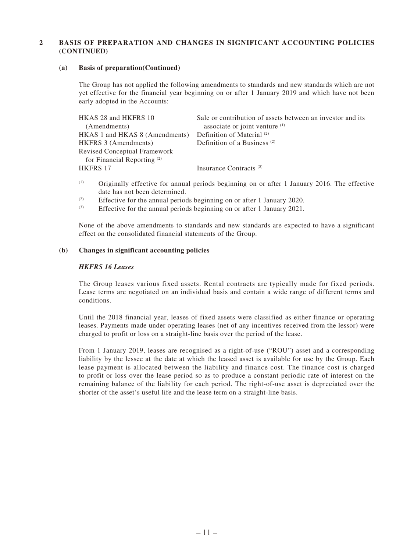### **2 BASIS OF PREPARATION AND CHANGES IN SIGNIFICANT ACCOUNTING POLICIES (CONTINUED)**

#### **(a) Basis of preparation(Continued)**

The Group has not applied the following amendments to standards and new standards which are not yet effective for the financial year beginning on or after 1 January 2019 and which have not been early adopted in the Accounts:

| HKAS 28 and HKFRS 10                   | Sale or contribution of assets between an investor and its |
|----------------------------------------|------------------------------------------------------------|
| (Amendments)                           | associate or joint venture $(1)$                           |
| HKAS 1 and HKAS 8 (Amendments)         | Definition of Material <sup>(2)</sup>                      |
| <b>HKFRS 3 (Amendments)</b>            | Definition of a Business <sup>(2)</sup>                    |
| Revised Conceptual Framework           |                                                            |
| for Financial Reporting <sup>(2)</sup> |                                                            |
| <b>HKFRS 17</b>                        | Insurance Contracts <sup>(3)</sup>                         |
|                                        |                                                            |

- (1) Originally effective for annual periods beginning on or after 1 January 2016. The effective date has not been determined.
- (2) Effective for the annual periods beginning on or after 1 January 2020.
- (3) Effective for the annual periods beginning on or after 1 January 2021.

None of the above amendments to standards and new standards are expected to have a significant effect on the consolidated financial statements of the Group.

### **(b) Changes in significant accounting policies**

#### *HKFRS 16 Leases*

The Group leases various fixed assets. Rental contracts are typically made for fixed periods. Lease terms are negotiated on an individual basis and contain a wide range of different terms and conditions.

Until the 2018 financial year, leases of fixed assets were classified as either finance or operating leases. Payments made under operating leases (net of any incentives received from the lessor) were charged to profit or loss on a straight-line basis over the period of the lease.

From 1 January 2019, leases are recognised as a right-of-use ("ROU") asset and a corresponding liability by the lessee at the date at which the leased asset is available for use by the Group. Each lease payment is allocated between the liability and finance cost. The finance cost is charged to profit or loss over the lease period so as to produce a constant periodic rate of interest on the remaining balance of the liability for each period. The right-of-use asset is depreciated over the shorter of the asset's useful life and the lease term on a straight-line basis.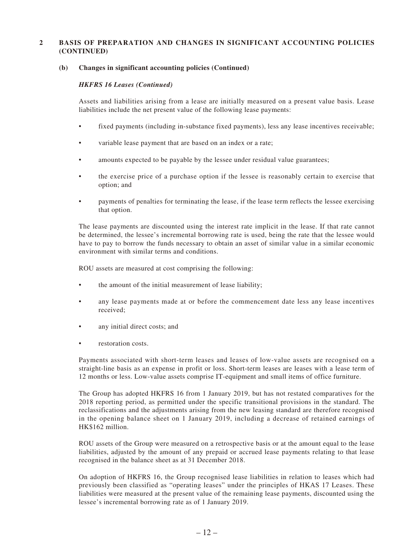#### **2 BASIS OF PREPARATION AND CHANGES IN SIGNIFICANT ACCOUNTING POLICIES (CONTINUED)**

#### **(b) Changes in significant accounting policies (Continued)**

#### *HKFRS 16 Leases (Continued)*

Assets and liabilities arising from a lease are initially measured on a present value basis. Lease liabilities include the net present value of the following lease payments:

- fixed payments (including in-substance fixed payments), less any lease incentives receivable;
- variable lease payment that are based on an index or a rate;
- amounts expected to be payable by the lessee under residual value guarantees;
- the exercise price of a purchase option if the lessee is reasonably certain to exercise that option; and
- payments of penalties for terminating the lease, if the lease term reflects the lessee exercising that option.

The lease payments are discounted using the interest rate implicit in the lease. If that rate cannot be determined, the lessee's incremental borrowing rate is used, being the rate that the lessee would have to pay to borrow the funds necessary to obtain an asset of similar value in a similar economic environment with similar terms and conditions.

ROU assets are measured at cost comprising the following:

- the amount of the initial measurement of lease liability;
- any lease payments made at or before the commencement date less any lease incentives received;
- any initial direct costs; and
- restoration costs.

Payments associated with short-term leases and leases of low-value assets are recognised on a straight-line basis as an expense in profit or loss. Short-term leases are leases with a lease term of 12 months or less. Low-value assets comprise IT-equipment and small items of office furniture.

The Group has adopted HKFRS 16 from 1 January 2019, but has not restated comparatives for the 2018 reporting period, as permitted under the specific transitional provisions in the standard. The reclassifications and the adjustments arising from the new leasing standard are therefore recognised in the opening balance sheet on 1 January 2019, including a decrease of retained earnings of HK\$162 million.

ROU assets of the Group were measured on a retrospective basis or at the amount equal to the lease liabilities, adjusted by the amount of any prepaid or accrued lease payments relating to that lease recognised in the balance sheet as at 31 December 2018.

On adoption of HKFRS 16, the Group recognised lease liabilities in relation to leases which had previously been classified as "operating leases" under the principles of HKAS 17 Leases. These liabilities were measured at the present value of the remaining lease payments, discounted using the lessee's incremental borrowing rate as of 1 January 2019.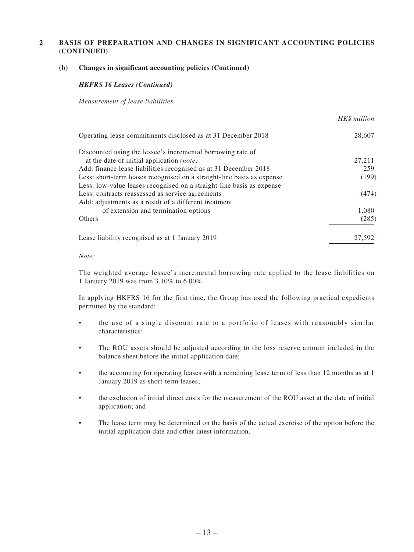### **2 BASIS OF PREPARATION AND CHANGES IN SIGNIFICANT ACCOUNTING POLICIES (CONTINUED)**

#### **(b) Changes in significant accounting policies (Continued)**

#### *HKFRS 16 Leases (Continued)*

*Measurement of lease liabilities*

|                                                                        | HKS million |
|------------------------------------------------------------------------|-------------|
| Operating lease commitments disclosed as at 31 December 2018           | 28,607      |
| Discounted using the lessee's incremental borrowing rate of            |             |
| at the date of initial application <i>(note)</i>                       | 27,211      |
| Add: finance lease liabilities recognised as at 31 December 2018       | 259         |
| Less: short-term leases recognised on a straight-line basis as expense | (199)       |
| Less: low-value leases recognised on a straight-line basis as expense  |             |
| Less: contracts reassessed as service agreements                       | (474)       |
| Add: adjustments as a result of a different treatment                  |             |
| of extension and termination options                                   | 1,080       |
| <b>Others</b>                                                          | (285)       |
| Lease liability recognised as at 1 January 2019                        | 27,592      |
|                                                                        |             |

**Hexa** 1111

#### *Note:*

The weighted average lessee's incremental borrowing rate applied to the lease liabilities on 1 January 2019 was from 3.10% to 6.00%.

In applying HKFRS 16 for the first time, the Group has used the following practical expedients permitted by the standard:

- the use of a single discount rate to a portfolio of leases with reasonably similar characteristics;
- The ROU assets should be adjusted according to the loss reserve amount included in the balance sheet before the initial application date;
- the accounting for operating leases with a remaining lease term of less than 12 months as at 1 January 2019 as short-term leases;
- the exclusion of initial direct costs for the measurement of the ROU asset at the date of initial application; and
- The lease term may be determined on the basis of the actual exercise of the option before the initial application date and other latest information.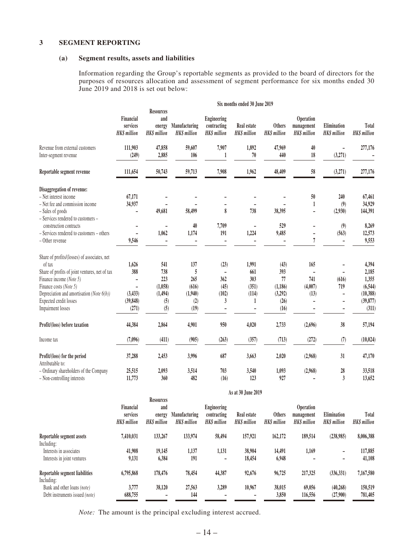#### **3 SEGMENT REPORTING**

#### **(a) Segment results, assets and liabilities**

Information regarding the Group's reportable segments as provided to the board of directors for the purposes of resources allocation and assessment of segment performance for six months ended 30 June 2019 and 2018 is set out below:

|                                                                                                                                                                                                                                                                  | Six months ended 30 June 2019                  |                                                          |                                                    |                                                          |                                            |                                                          |                                                |                                    |                                                                        |
|------------------------------------------------------------------------------------------------------------------------------------------------------------------------------------------------------------------------------------------------------------------|------------------------------------------------|----------------------------------------------------------|----------------------------------------------------|----------------------------------------------------------|--------------------------------------------|----------------------------------------------------------|------------------------------------------------|------------------------------------|------------------------------------------------------------------------|
|                                                                                                                                                                                                                                                                  | Financial<br>services<br><b>HK\$</b> million   | <b>Resources</b><br>and<br>energy<br><b>HK\$</b> million | Manufacturing<br><b>HKS</b> million                | <b>Engineering</b><br>contracting<br><b>HK\$</b> million | Real estate<br><b>HK\$</b> million         | <b>Others</b><br><b>HK\$</b> million                     | Operation<br>management<br><b>HK\$</b> million | Elimination<br><b>HK\$</b> million | Total<br>HK\$ million                                                  |
| Revenue from external customers<br>Inter-segment revenue                                                                                                                                                                                                         | 111,903<br>(249)                               | 47,858<br>2,885                                          | 59,607<br>106                                      | 7,907<br>1                                               | 1,892<br>$70\,$                            | 47,969<br>440                                            | 40<br>18                                       | ۰<br>(3,271)                       | 277,176                                                                |
| Reportable segment revenue                                                                                                                                                                                                                                       | 111,654                                        | 50,743                                                   | 59,713                                             | 7,908                                                    | 1,962                                      | 48,409                                                   | 58                                             | (3,271)                            | 277,176                                                                |
| Disaggregation of revenue:<br>- Net interest income<br>- Net fee and commission income<br>- Sales of goods<br>- Services rendered to customers -                                                                                                                 | 67,171<br>34,937                               | 49,681                                                   | 58,499                                             | 8                                                        | 738                                        | 38,395                                                   | 50<br>1                                        | 240<br>(9)<br>(2,930)              | 67,461<br>34,929<br>144,391                                            |
| construction contracts<br>- Services rendered to customers - others<br>- Other revenue                                                                                                                                                                           | 9,546                                          | 1,062                                                    | 40<br>1,174                                        | 7,709<br>191                                             | 1,224                                      | 529<br>9,485                                             | -<br>L,<br>7                                   | (9)<br>(563)<br>÷,                 | 8,269<br>12,573<br>9,553                                               |
| Share of profits/(losses) of associates, net<br>of tax<br>Share of profits of joint ventures, net of tax<br>Finance income (Note 5)<br>Finance costs (Note 5)<br>Depreciation and amortisation (Note 6(b))<br>Expected credit losses<br><b>Impairment</b> losses | 1,626<br>388<br>(3, 433)<br>(39, 848)<br>(271) | 541<br>738<br>223<br>(1,058)<br>(1, 494)<br>(5)<br>(5)   | 137<br>5<br>265<br>(616)<br>(1,940)<br>(2)<br>(19) | (23)<br>362<br>(45)<br>(102)<br>3                        | 1,991<br>661<br>303<br>(351)<br>(114)<br>1 | (43)<br>393<br>77<br>(1, 186)<br>(3,292)<br>(26)<br>(16) | 165<br>741<br>(4,007)<br>(13)                  | (616)<br>719                       | 4,394<br>2,185<br>1,355<br>(6, 544)<br>(10, 388)<br>(39, 877)<br>(311) |
| Profit/(loss) before taxation                                                                                                                                                                                                                                    | 44,384                                         | 2,864                                                    | 4,901                                              | 950                                                      | 4,020                                      | 2,733                                                    | (2,696)                                        | 38                                 | 57,194                                                                 |
| Income tax                                                                                                                                                                                                                                                       | (7,096)                                        | (411)                                                    | (905)                                              | (263)                                                    | (357)                                      | (713)                                                    | (272)                                          | (7)                                | (10, 024)                                                              |
| Profit/(loss) for the period<br>Attributable to:                                                                                                                                                                                                                 | 37,288                                         | 2,453                                                    | 3,996                                              | 687                                                      | 3,663                                      | 2,020                                                    | (2,968)                                        | 31                                 | 47,170                                                                 |
| - Ordinary shareholders of the Company<br>- Non-controlling interests                                                                                                                                                                                            | 25,515<br>11,773                               | 2,093<br>360                                             | 3,514<br>482                                       | 703<br>(16)                                              | 3,540<br>123                               | 1,093<br>927                                             | (2,968)                                        | 28<br>3                            | 33,518<br>13,652                                                       |

|                                                               | As at 30 June 2019                          |                                                         |                                     |                                                  |                                   |                                     |                                                      |                                   |                             |
|---------------------------------------------------------------|---------------------------------------------|---------------------------------------------------------|-------------------------------------|--------------------------------------------------|-----------------------------------|-------------------------------------|------------------------------------------------------|-----------------------------------|-----------------------------|
|                                                               | Financial<br>services<br><b>HKS</b> million | <b>Resources</b><br>and<br>energy<br><b>HKS</b> million | Manufacturing<br><b>HKS</b> million | Engineering<br>contracting<br><b>HKS</b> million | Real estate<br><b>HKS</b> million | <b>Others</b><br><b>HKS</b> million | <b>Operation</b><br>management<br><b>HKS</b> million | Elimination<br><b>HKS</b> million | Total<br><b>HKS</b> million |
| Reportable segment assets<br>Including:                       | 7,410,031                                   | 133,267                                                 | 133,974                             | 58,494                                           | 157,921                           | 162,172                             | 189,514                                              | (238,985)                         | 8,006,388                   |
| Interests in associates<br>Interests in joint ventures        | 41,908<br>9,131                             | 19,145<br>6,384                                         | 1,137<br>191                        | 1,131<br>-                                       | 38,904<br>18,454                  | 14,491<br>6,948                     | 1,169<br>۰                                           | -<br>-                            | 117,885<br>41,108           |
| Reportable segment liabilities<br>Including:                  | 6,795,868                                   | 178,476                                                 | 78,454                              | 44,387                                           | 92,676                            | 96,725                              | 217,325                                              | (336, 331)                        | 7,167,580                   |
| Bank and other loans (note)<br>Debt instruments issued (note) | 3,777<br>688,755                            | 38,120                                                  | 27,563<br>144                       | 3,289                                            | 10,967                            | 38,015<br>3,850                     | 69,056<br>116,556                                    | (40, 268)<br>(27,900)             | 150,519<br>781,405          |

*Note:* The amount is the principal excluding interest accrued.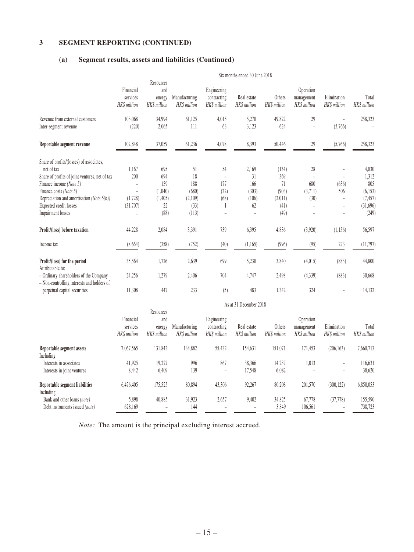### **3 SEGMENT REPORTING (CONTINUED)**

### **(a) Segment results, assets and liabilities (Continued)**

|                                                                                                                                                                                                                                                              | Six months ended 30 June 2018               |                                                       |                                                      |                                            |                                            |                                                        |                                         |                                   |                                                                    |
|--------------------------------------------------------------------------------------------------------------------------------------------------------------------------------------------------------------------------------------------------------------|---------------------------------------------|-------------------------------------------------------|------------------------------------------------------|--------------------------------------------|--------------------------------------------|--------------------------------------------------------|-----------------------------------------|-----------------------------------|--------------------------------------------------------------------|
|                                                                                                                                                                                                                                                              | Financial<br>services<br><b>HKS</b> million | Resources<br>and<br>energy<br>HK\$ million            | Manufacturing<br>HK\$ million                        | Engineering<br>contracting<br>HK\$ million | Real estate<br>HK\$ million                | Others<br>HK\$ million                                 | Operation<br>management<br>HK\$ million | Elimination<br><b>HKS</b> million | Total<br><b>HKS</b> million                                        |
| Revenue from external customers<br>Inter-segment revenue                                                                                                                                                                                                     | 103,068<br>(220)                            | 34,994<br>2,065                                       | 61,125<br>111                                        | 4,015<br>63                                | 5,270<br>3,123                             | 49,822<br>624                                          | 29                                      | (5,766)                           | 258,323                                                            |
| Reportable segment revenue                                                                                                                                                                                                                                   | 102,848                                     | 37,059                                                | 61,236                                               | 4,078                                      | 8,393                                      | 50,446                                                 | 29                                      | (5,766)                           | 258,323                                                            |
| Share of profits/(losses) of associates,<br>net of tax<br>Share of profits of joint ventures, net of tax<br>Finance income (Note 5)<br>Finance costs (Note 5)<br>Depreciation and amortisation (Note $6(b)$ )<br>Expected credit losses<br>Impairment losses | 1,167<br>200<br>(1,728)<br>(31,707)         | 695<br>694<br>159<br>(1,040)<br>(1,405)<br>22<br>(88) | 51<br>18<br>188<br>(680)<br>(2,109)<br>(33)<br>(113) | 54<br>177<br>(22)<br>(68)                  | 2,169<br>31<br>166<br>(303)<br>(106)<br>62 | (134)<br>369<br>71<br>(903)<br>(2,011)<br>(41)<br>(49) | 28<br>680<br>(3,711)<br>(30)            | (636)<br>506<br>$\overline{a}$    | 4,030<br>1,312<br>805<br>(6, 153)<br>(7, 457)<br>(31,696)<br>(249) |
| Profit/(loss) before taxation                                                                                                                                                                                                                                | 44,228                                      | 2,084                                                 | 3.391                                                | 739                                        | 6,395                                      | 4,836                                                  | (3,920)                                 | (1,156)                           | 56,597                                                             |
| Income tax                                                                                                                                                                                                                                                   | (8,664)                                     | (358)                                                 | (752)                                                | (40)                                       | (1,165)                                    | (996)                                                  | (95)                                    | 273                               | (11,797)                                                           |
| Profit/(loss) for the period<br>Attributable to:<br>- Ordinary shareholders of the Company<br>- Non-controlling interests and holders of                                                                                                                     | 35,564<br>24,256                            | 1,726<br>1,279                                        | 2,639<br>2,406                                       | 699<br>704                                 | 5,230<br>4,747                             | 3,840<br>2,498                                         | (4,015)<br>(4, 339)                     | (883)<br>(883)                    | 44,800<br>30,668                                                   |
| perpetual capital securities                                                                                                                                                                                                                                 | 11,308                                      | 447                                                   | 233                                                  | (5)                                        | 483                                        | 1,342                                                  | 324                                     | $\overline{a}$                    | 14,132                                                             |

|                                                               |                                       | As at 31 December 2018                     |                               |                                            |                                   |                        |                                         |                                       |                       |  |
|---------------------------------------------------------------|---------------------------------------|--------------------------------------------|-------------------------------|--------------------------------------------|-----------------------------------|------------------------|-----------------------------------------|---------------------------------------|-----------------------|--|
|                                                               | Financial<br>services<br>HK\$ million | Resources<br>and<br>energy<br>HK\$ million | Manufacturing<br>HK\$ million | Engineering<br>contracting<br>HK\$ million | Real estate<br><b>HKS</b> million | Others<br>HK\$ million | Operation<br>management<br>HK\$ million | Elimination<br>HK\$ million           | Total<br>HK\$ million |  |
| Reportable segment assets<br>Including:                       | 7,067,565                             | 131,842                                    | 134,882                       | 55,432                                     | 154,631                           | 151,071                | 171,453                                 | (206, 163)                            | 7,660,713             |  |
| Interests in associates<br>Interests in joint ventures        | 41,925<br>8,442                       | 19.227<br>6,409                            | 996<br>139                    | 867<br>$\overline{\phantom{m}}$            | 38,366<br>17,548                  | 14,237<br>6,082        | 1,013                                   | $\overline{\phantom{0}}$<br>-         | 116,631<br>38,620     |  |
| Reportable segment liabilities<br>Including:                  | 6.476.405                             | 175,525                                    | 80,894                        | 43,306                                     | 92,267                            | 80,208                 | 201,570                                 | (300, 122)                            | 6,850,053             |  |
| Bank and other loans (note)<br>Debt instruments issued (note) | 5,898<br>628,169                      | 40,885                                     | 31.923<br>144                 | 2,657                                      | 9,402                             | 34,825<br>3,849        | 67,778<br>106,561                       | (37, 778)<br>$\overline{\phantom{0}}$ | 155,590<br>738,723    |  |

*Note:* The amount is the principal excluding interest accrued.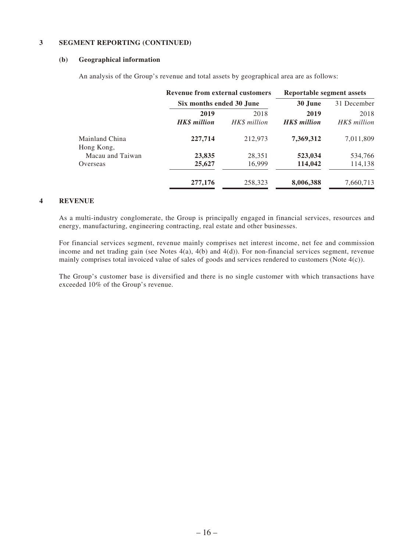### **3 SEGMENT REPORTING (CONTINUED)**

#### **(b) Geographical information**

An analysis of the Group's revenue and total assets by geographical area are as follows:

|                              | <b>Revenue from external customers</b> |                          | <b>Reportable segment assets</b> |                      |
|------------------------------|----------------------------------------|--------------------------|----------------------------------|----------------------|
|                              |                                        | Six months ended 30 June |                                  | 31 December          |
|                              | 2019<br><b>HK\$</b> million            | 2018<br>HK\$ million     | 2019<br><b>HKS</b> million       | 2018<br>HK\$ million |
| Mainland China<br>Hong Kong, | 227,714                                | 212,973                  | 7,369,312                        | 7,011,809            |
| Macau and Taiwan             | 23,835                                 | 28,351                   | 523,034                          | 534,766              |
| Overseas                     | 25,627                                 | 16,999                   | 114,042                          | 114,138              |
|                              | 277,176                                | 258,323                  | 8,006,388                        | 7,660,713            |

#### **4 REVENUE**

As a multi-industry conglomerate, the Group is principally engaged in financial services, resources and energy, manufacturing, engineering contracting, real estate and other businesses.

For financial services segment, revenue mainly comprises net interest income, net fee and commission income and net trading gain (see Notes 4(a), 4(b) and 4(d)). For non-financial services segment, revenue mainly comprises total invoiced value of sales of goods and services rendered to customers (Note 4(c)).

The Group's customer base is diversified and there is no single customer with which transactions have exceeded 10% of the Group's revenue.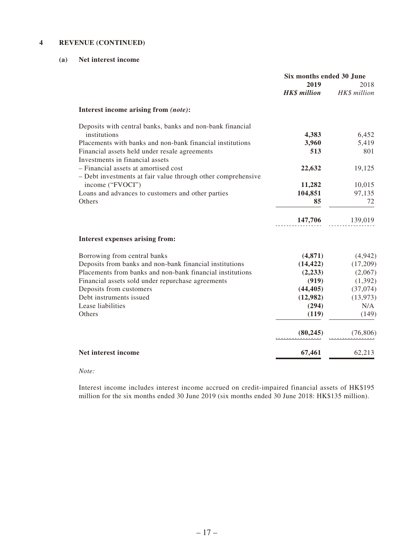### **4 REVENUE (CONTINUED)**

### **(a) Net interest income**

|                                                              | Six months ended 30 June |              |
|--------------------------------------------------------------|--------------------------|--------------|
|                                                              | 2019                     | 2018         |
|                                                              | <b>HK\$</b> million      | HK\$ million |
| Interest income arising from (note):                         |                          |              |
| Deposits with central banks, banks and non-bank financial    |                          |              |
| institutions                                                 | 4,383                    | 6,452        |
| Placements with banks and non-bank financial institutions    | 3,960                    | 5,419        |
| Financial assets held under resale agreements                | 513                      | 801          |
| Investments in financial assets                              |                          |              |
| - Financial assets at amortised cost                         | 22,632                   | 19,125       |
| - Debt investments at fair value through other comprehensive |                          |              |
| income ("FVOCI")                                             | 11,282                   | 10,015       |
| Loans and advances to customers and other parties            | 104,851                  | 97,135       |
| Others                                                       | 85                       | 72           |
|                                                              | 147,706                  | 139,019      |
|                                                              |                          |              |
| Interest expenses arising from:                              |                          |              |
| Borrowing from central banks                                 | (4, 871)                 | (4,942)      |
| Deposits from banks and non-bank financial institutions      | (14, 422)                | (17,209)     |
| Placements from banks and non-bank financial institutions    | (2,233)                  | (2,067)      |
| Financial assets sold under repurchase agreements            | (919)                    | (1,392)      |
| Deposits from customers                                      | (44, 405)                | (37,074)     |
| Debt instruments issued                                      | (12,982)                 | (13, 973)    |
| Lease liabilities                                            | (294)                    | N/A          |
| Others                                                       | (119)                    | (149)        |
|                                                              | (80, 245)                | (76, 806)    |
| Net interest income                                          | 67,461                   | 62,213       |
|                                                              |                          |              |

#### *Note:*

Interest income includes interest income accrued on credit-impaired financial assets of HK\$195 million for the six months ended 30 June 2019 (six months ended 30 June 2018: HK\$135 million).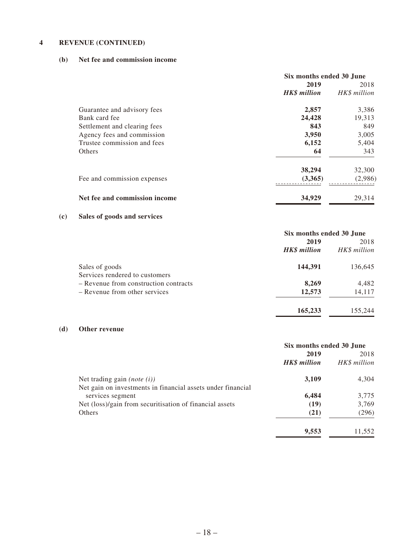### **4 REVENUE (CONTINUED)**

### **(b) Net fee and commission income**

|                               | Six months ended 30 June |              |
|-------------------------------|--------------------------|--------------|
|                               | 2019                     | 2018         |
|                               | <b>HK\$</b> million      | HK\$ million |
| Guarantee and advisory fees   | 2,857                    | 3,386        |
| Bank card fee                 | 24,428                   | 19,313       |
| Settlement and clearing fees  | 843                      | 849          |
| Agency fees and commission    | 3,950                    | 3,005        |
| Trustee commission and fees   | 6,152                    | 5,404        |
| Others                        | 64                       | 343          |
|                               | 38,294                   | 32,300       |
| Fee and commission expenses   | (3,365)                  | (2,986)      |
| Net fee and commission income | 34,929                   | 29.314       |

## **(c) Sales of goods and services**

|                                       | Six months ended 30 June |              |
|---------------------------------------|--------------------------|--------------|
|                                       | 2019                     | 2018         |
|                                       | <b>HK\$</b> million      | HK\$ million |
| Sales of goods                        | 144,391                  | 136,645      |
| Services rendered to customers        |                          |              |
| - Revenue from construction contracts | 8,269                    | 4,482        |
| - Revenue from other services         | 12,573                   | 14,117       |
|                                       | 165,233                  | 155,244      |

### **(d) Other revenue**

|                                                             | Six months ended 30 June |              |
|-------------------------------------------------------------|--------------------------|--------------|
|                                                             | 2019                     | 2018         |
|                                                             | <b>HK\$</b> million      | HK\$ million |
| Net trading gain ( <i>note</i> $(i)$ )                      | 3,109                    | 4,304        |
| Net gain on investments in financial assets under financial |                          |              |
| services segment                                            | 6,484                    | 3,775        |
| Net (loss)/gain from securitisation of financial assets     | (19)                     | 3,769        |
| Others                                                      | (21)                     | (296)        |
|                                                             | 9,553                    | 11.552       |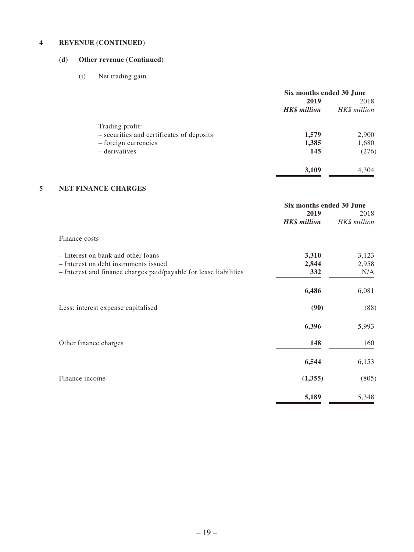### **4 REVENUE (CONTINUED)**

## **(d) Other revenue (Continued)**

(i) Net trading gain

|                                           | Six months ended 30 June |              |
|-------------------------------------------|--------------------------|--------------|
|                                           | 2019                     | 2018         |
|                                           | <b>HK\$</b> million      | HK\$ million |
| Trading profit:                           |                          |              |
| - securities and certificates of deposits | 1,579                    | 2,900        |
| $-$ foreign currencies                    | 1,385                    | 1,680        |
| – derivatives                             | 145                      | (276)        |
|                                           | 3,109                    | 4,304        |

### **5 NET FINANCE CHARGES**

|                                                                   | Six months ended 30 June    |                      |
|-------------------------------------------------------------------|-----------------------------|----------------------|
|                                                                   | 2019<br><b>HK\$</b> million | 2018<br>HK\$ million |
| Finance costs                                                     |                             |                      |
| - Interest on bank and other loans                                | 3,310                       | 3,123                |
| - Interest on debt instruments issued                             | 2,844                       | 2,958                |
| - Interest and finance charges paid/payable for lease liabilities | 332                         | N/A                  |
|                                                                   | 6,486                       | 6,081                |
| Less: interest expense capitalised                                | (90)                        | (88)                 |
|                                                                   | 6,396                       | 5,993                |
| Other finance charges                                             | 148                         | 160                  |
|                                                                   | 6,544                       | 6,153                |
| Finance income                                                    | (1,355)                     | (805)                |
|                                                                   | 5,189                       | 5,348                |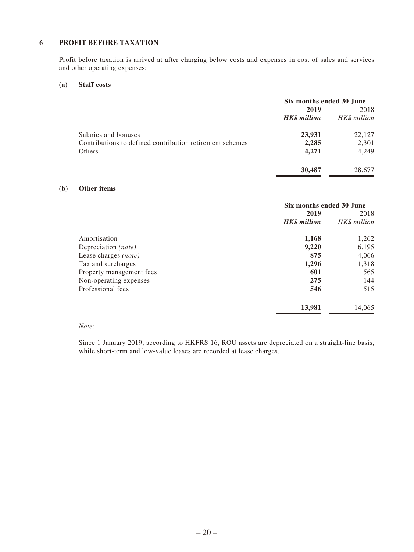### **6 PROFIT BEFORE TAXATION**

Profit before taxation is arrived at after charging below costs and expenses in cost of sales and services and other operating expenses:

#### **(a) Staff costs**

|                                                          | Six months ended 30 June |              |
|----------------------------------------------------------|--------------------------|--------------|
|                                                          | 2019                     | 2018         |
|                                                          | <b>HK\$</b> million      | HK\$ million |
| Salaries and bonuses                                     | 23,931                   | 22,127       |
| Contributions to defined contribution retirement schemes | 2,285                    | 2,301        |
| Others                                                   | 4,271                    | 4,249        |
|                                                          | 30,487                   | 28,677       |

### **(b) Other items**

|                              | Six months ended 30 June |              |
|------------------------------|--------------------------|--------------|
|                              | 2019                     | 2018         |
|                              | <b>HK\$</b> million      | HK\$ million |
| Amortisation                 | 1,168                    | 1,262        |
| Depreciation ( <i>note</i> ) | 9,220                    | 6,195        |
| Lease charges (note)         | 875                      | 4,066        |
| Tax and surcharges           | 1,296                    | 1,318        |
| Property management fees     | 601                      | 565          |
| Non-operating expenses       | 275                      | 144          |
| Professional fees            | 546                      | 515          |
|                              | 13,981                   | 14,065       |

#### *Note:*

Since 1 January 2019, according to HKFRS 16, ROU assets are depreciated on a straight-line basis, while short-term and low-value leases are recorded at lease charges.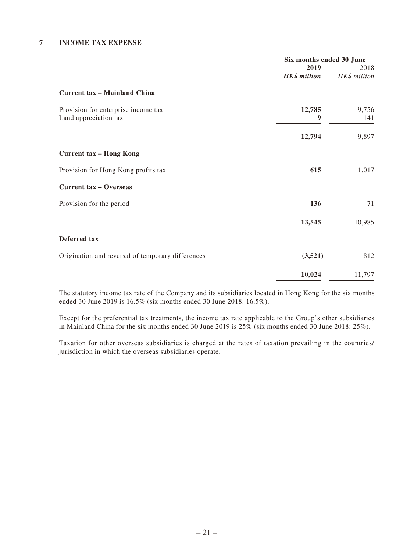### **7 INCOME TAX EXPENSE**

|                                                   | Six months ended 30 June |              |
|---------------------------------------------------|--------------------------|--------------|
|                                                   | 2019                     | 2018         |
|                                                   | <b>HK\$</b> million      | HK\$ million |
| <b>Current tax - Mainland China</b>               |                          |              |
| Provision for enterprise income tax               | 12,785                   | 9,756        |
| Land appreciation tax                             | 9                        | 141          |
|                                                   | 12,794                   | 9,897        |
| <b>Current tax - Hong Kong</b>                    |                          |              |
| Provision for Hong Kong profits tax               | 615                      | 1,017        |
| <b>Current tax - Overseas</b>                     |                          |              |
| Provision for the period                          | 136                      | 71           |
|                                                   | 13,545                   | 10,985       |
| Deferred tax                                      |                          |              |
| Origination and reversal of temporary differences | (3,521)                  | 812          |
|                                                   | 10,024                   | 11,797       |

The statutory income tax rate of the Company and its subsidiaries located in Hong Kong for the six months ended 30 June 2019 is 16.5% (six months ended 30 June 2018: 16.5%).

Except for the preferential tax treatments, the income tax rate applicable to the Group's other subsidiaries in Mainland China for the six months ended 30 June 2019 is 25% (six months ended 30 June 2018: 25%).

Taxation for other overseas subsidiaries is charged at the rates of taxation prevailing in the countries/ jurisdiction in which the overseas subsidiaries operate.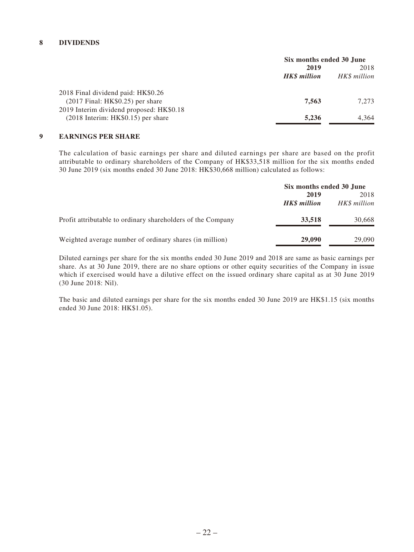### **8 DIVIDENDS**

|                                            | Six months ended 30 June |              |
|--------------------------------------------|--------------------------|--------------|
|                                            | 2019                     | 2018         |
|                                            | <b>HKS</b> million       | HK\$ million |
| 2018 Final dividend paid: HK\$0.26         |                          |              |
| $(2017$ Final: HK\$0.25) per share         | 7.563                    | 7,273        |
| 2019 Interim dividend proposed: HK\$0.18   |                          |              |
| $(2018 \text{ Intern: HK$0.15})$ per share | 5.236                    | 4.364        |

#### **9 EARNINGS PER SHARE**

The calculation of basic earnings per share and diluted earnings per share are based on the profit attributable to ordinary shareholders of the Company of HK\$33,518 million for the six months ended 30 June 2019 (six months ended 30 June 2018: HK\$30,668 million) calculated as follows:

|                                                             | Six months ended 30 June   |                      |
|-------------------------------------------------------------|----------------------------|----------------------|
|                                                             | 2019<br><b>HKS</b> million | 2018<br>HK\$ million |
| Profit attributable to ordinary shareholders of the Company | 33,518                     | 30,668               |
| Weighted average number of ordinary shares (in million)     | 29,090                     | 29,090               |

Diluted earnings per share for the six months ended 30 June 2019 and 2018 are same as basic earnings per share. As at 30 June 2019, there are no share options or other equity securities of the Company in issue which if exercised would have a dilutive effect on the issued ordinary share capital as at 30 June 2019 (30 June 2018: Nil).

The basic and diluted earnings per share for the six months ended 30 June 2019 are HK\$1.15 (six months ended 30 June 2018: HK\$1.05).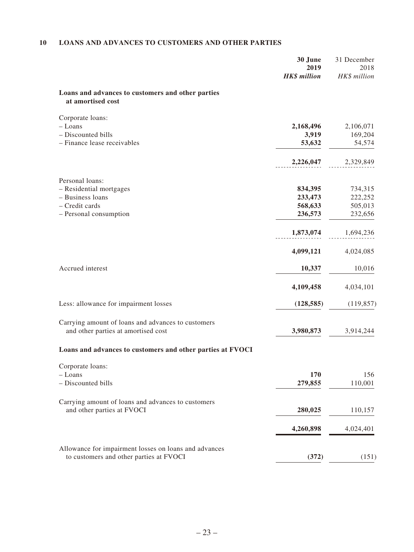### **10 LOANS AND ADVANCES TO CUSTOMERS AND OTHER PARTIES**

|                                                                        | 30 June<br>2019     | 31 December<br>2018 |
|------------------------------------------------------------------------|---------------------|---------------------|
|                                                                        | <b>HK\$</b> million | HK\$ million        |
| Loans and advances to customers and other parties<br>at amortised cost |                     |                     |
| Corporate loans:                                                       |                     |                     |
| - Loans                                                                | 2,168,496           | 2,106,071           |
| - Discounted bills                                                     | 3,919               | 169,204             |
| - Finance lease receivables                                            | 53,632              | 54,574              |
|                                                                        | 2,226,047           | 2,329,849           |
| Personal loans:                                                        |                     |                     |
| - Residential mortgages                                                | 834,395             | 734,315             |
| - Business loans                                                       | 233,473             | 222,252             |
| - Credit cards                                                         | 568,633             | 505,013             |
| - Personal consumption                                                 | 236,573             | 232,656             |
|                                                                        | 1,873,074           | 1,694,236           |
|                                                                        | 4,099,121           | 4,024,085           |
| Accrued interest                                                       | 10,337              | 10,016              |
|                                                                        | 4,109,458           | 4,034,101           |
| Less: allowance for impairment losses                                  | (128, 585)          | (119, 857)          |
| Carrying amount of loans and advances to customers                     |                     |                     |
| and other parties at amortised cost                                    | 3,980,873           | 3,914,244           |
| Loans and advances to customers and other parties at FVOCI             |                     |                     |
| Corporate loans:                                                       |                     |                     |
| - Loans                                                                | 170                 | 156                 |
| - Discounted bills                                                     | 279,855             | 110,001             |
| Carrying amount of loans and advances to customers                     |                     |                     |
| and other parties at FVOCI                                             | 280,025             | 110,157             |
|                                                                        | 4,260,898           | 4,024,401           |
| Allowance for impairment losses on loans and advances                  |                     |                     |
| to customers and other parties at FVOCI                                | (372)               | (151)               |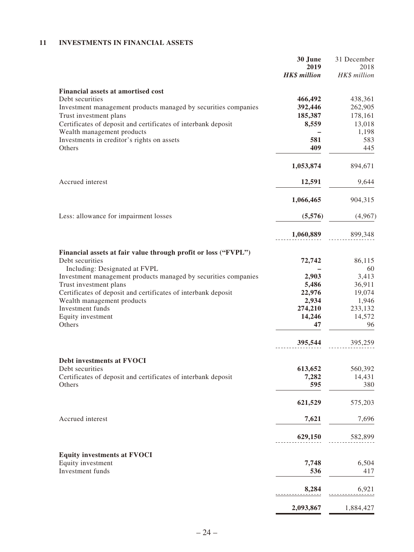### **11 INVESTMENTS IN FINANCIAL ASSETS**

|                                                                | 30 June             | 31 December  |
|----------------------------------------------------------------|---------------------|--------------|
|                                                                | 2019                | 2018         |
|                                                                | <b>HK\$</b> million | HK\$ million |
| <b>Financial assets at amortised cost</b>                      |                     |              |
| Debt securities                                                | 466,492             | 438,361      |
| Investment management products managed by securities companies | 392,446             | 262,905      |
| Trust investment plans                                         | 185,387             | 178,161      |
| Certificates of deposit and certificates of interbank deposit  | 8,559               | 13,018       |
| Wealth management products                                     |                     | 1,198        |
| Investments in creditor's rights on assets                     | 581                 | 583          |
| Others                                                         | 409                 | 445          |
|                                                                | 1,053,874           | 894,671      |
| Accrued interest                                               |                     |              |
|                                                                | 12,591              | 9,644        |
|                                                                | 1,066,465           | 904,315      |
| Less: allowance for impairment losses                          | (5,576)             | (4,967)      |
|                                                                | 1,060,889           | 899,348      |
| Financial assets at fair value through profit or loss ("FVPL") |                     |              |
| Debt securities                                                | 72,742              | 86,115       |
| Including: Designated at FVPL                                  |                     | 60           |
| Investment management products managed by securities companies | 2,903               | 3,413        |
| Trust investment plans                                         | 5,486               | 36,911       |
| Certificates of deposit and certificates of interbank deposit  | 22,976              | 19,074       |
| Wealth management products                                     | 2,934               | 1,946        |
| Investment funds                                               | 274,210             | 233,132      |
| Equity investment                                              | 14,246              | 14,572       |
| Others                                                         | 47                  | 96           |
|                                                                | 395,544             | 395,259      |
|                                                                |                     |              |
| Debt investments at FVOCI<br>Debt securities                   | 613,652             | 560,392      |
| Certificates of deposit and certificates of interbank deposit  | 7,282               | 14,431       |
| Others                                                         | 595                 | 380          |
|                                                                | 621,529             | 575,203      |
| Accrued interest                                               | 7,621               | 7,696        |
|                                                                | 629,150             | 582,899      |
|                                                                |                     |              |
| <b>Equity investments at FVOCI</b><br>Equity investment        | 7,748               | 6,504        |
| Investment funds                                               | 536                 | 417          |
|                                                                | 8,284               | 6,921        |
|                                                                | 2,093,867           | 1,884,427    |
|                                                                |                     |              |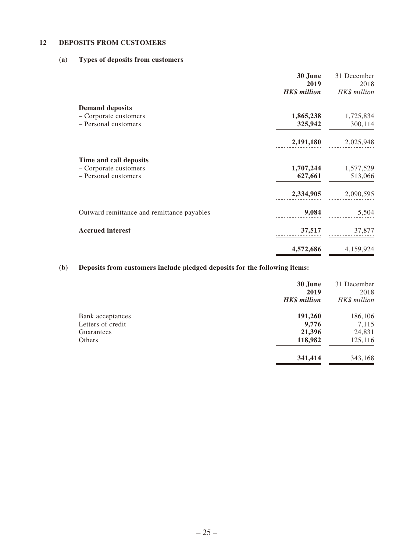### **12 DEPOSITS FROM CUSTOMERS**

### **(a) Types of deposits from customers**

|                                            | 30 June<br>2019     | 31 December<br>2018 |
|--------------------------------------------|---------------------|---------------------|
|                                            | <b>HK\$</b> million | HK\$ million        |
| <b>Demand deposits</b>                     |                     |                     |
| - Corporate customers                      | 1,865,238           | 1,725,834           |
| - Personal customers                       | 325,942             | 300,114             |
|                                            | 2,191,180           | 2,025,948           |
| Time and call deposits                     |                     |                     |
| - Corporate customers                      | 1,707,244           | 1,577,529           |
| - Personal customers                       | 627,661             | 513,066             |
|                                            | 2,334,905           | 2,090,595           |
| Outward remittance and remittance payables | 9,084               | 5,504               |
| <b>Accrued</b> interest                    | 37,517              | 37,877              |
|                                            | 4,572,686           | 4,159,924           |

## **(b) Deposits from customers include pledged deposits for the following items:**

|                                       | 30 June<br>2019<br><b>HK\$</b> million | 31 December<br>2018<br>HK\$ million |
|---------------------------------------|----------------------------------------|-------------------------------------|
|                                       |                                        |                                     |
| Bank acceptances<br>Letters of credit | 191,260<br>9,776                       | 186,106<br>7,115                    |
| Guarantees                            | 21,396                                 | 24,831                              |
| Others                                | 118,982                                | 125,116                             |
|                                       | 341,414                                | 343,168                             |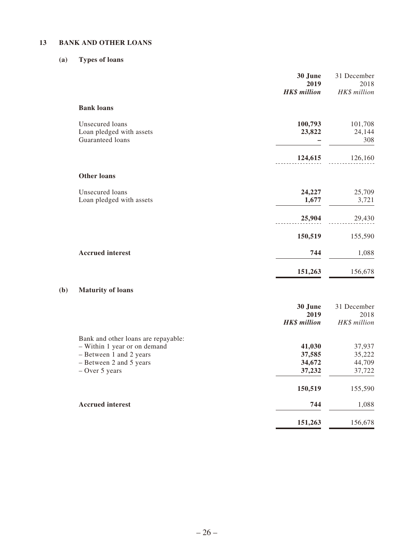### **13 BANK AND OTHER LOANS**

### **(a) Types of loans**

**(b)** 

|                                                                 | 30 June<br>2019<br><b>HK\$</b> million | 31 December<br>2018<br>HK\$ million |
|-----------------------------------------------------------------|----------------------------------------|-------------------------------------|
| <b>Bank loans</b>                                               |                                        |                                     |
| Unsecured loans<br>Loan pledged with assets<br>Guaranteed loans | 100,793<br>23,822                      | 101,708<br>24,144<br>308            |
|                                                                 | 124,615                                | 126,160                             |
| <b>Other loans</b>                                              |                                        |                                     |
| Unsecured loans<br>Loan pledged with assets                     | 24,227<br>1,677                        | 25,709<br>3,721                     |
|                                                                 | 25,904                                 | 29,430                              |
|                                                                 | 150,519                                | 155,590                             |
| <b>Accrued</b> interest                                         | 744                                    | 1,088                               |
|                                                                 | 151,263                                | 156,678                             |
| <b>Maturity of loans</b>                                        |                                        |                                     |
|                                                                 | 30 June<br>2019<br><b>HK\$</b> million | 31 December<br>2018<br>HK\$ million |

| Bank and other loans are repayable: |         |         |
|-------------------------------------|---------|---------|
| - Within 1 year or on demand        | 41,030  | 37,937  |
| - Between 1 and 2 years             | 37,585  | 35,222  |
| - Between 2 and 5 years             | 34,672  | 44,709  |
| $-$ Over 5 years                    | 37,232  | 37,722  |
|                                     | 150,519 | 155,590 |
| <b>Accrued interest</b>             | 744     | 1,088   |
|                                     | 151,263 | 156.678 |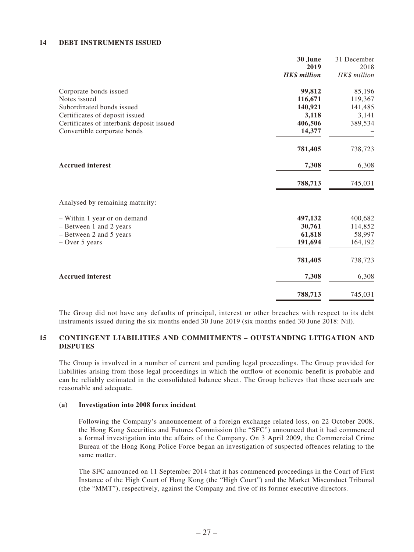#### **14 DEBT INSTRUMENTS ISSUED**

|                                          | 30 June             | 31 December  |
|------------------------------------------|---------------------|--------------|
|                                          | 2019                | 2018         |
|                                          | <b>HK\$</b> million | HK\$ million |
| Corporate bonds issued                   | 99,812              | 85,196       |
| Notes issued                             | 116,671             | 119,367      |
| Subordinated bonds issued                | 140,921             | 141,485      |
| Certificates of deposit issued           | 3,118               | 3,141        |
| Certificates of interbank deposit issued | 406,506             | 389,534      |
| Convertible corporate bonds              | 14,377              |              |
|                                          | 781,405             | 738,723      |
| <b>Accrued</b> interest                  | 7,308               | 6,308        |
|                                          | 788,713             | 745,031      |
| Analysed by remaining maturity:          |                     |              |
| - Within 1 year or on demand             | 497,132             | 400,682      |
| - Between 1 and 2 years                  | 30,761              | 114,852      |
| - Between 2 and 5 years                  | 61,818              | 58,997       |
| $-$ Over 5 years                         | 191,694             | 164,192      |
|                                          | 781,405             | 738,723      |
| <b>Accrued</b> interest                  | 7,308               | 6,308        |
|                                          | 788,713             | 745,031      |

The Group did not have any defaults of principal, interest or other breaches with respect to its debt instruments issued during the six months ended 30 June 2019 (six months ended 30 June 2018: Nil).

### **15 CONTINGENT LIABILITIES AND COMMITMENTS – OUTSTANDING LITIGATION AND DISPUTES**

The Group is involved in a number of current and pending legal proceedings. The Group provided for liabilities arising from those legal proceedings in which the outflow of economic benefit is probable and can be reliably estimated in the consolidated balance sheet. The Group believes that these accruals are reasonable and adequate.

#### **(a) Investigation into 2008 forex incident**

Following the Company's announcement of a foreign exchange related loss, on 22 October 2008, the Hong Kong Securities and Futures Commission (the "SFC") announced that it had commenced a formal investigation into the affairs of the Company. On 3 April 2009, the Commercial Crime Bureau of the Hong Kong Police Force began an investigation of suspected offences relating to the same matter.

The SFC announced on 11 September 2014 that it has commenced proceedings in the Court of First Instance of the High Court of Hong Kong (the "High Court") and the Market Misconduct Tribunal (the "MMT"), respectively, against the Company and five of its former executive directors.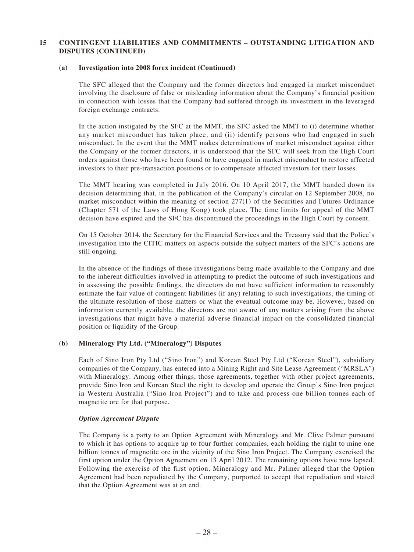#### **(a) Investigation into 2008 forex incident (Continued)**

The SFC alleged that the Company and the former directors had engaged in market misconduct involving the disclosure of false or misleading information about the Company's financial position in connection with losses that the Company had suffered through its investment in the leveraged foreign exchange contracts.

In the action instigated by the SFC at the MMT, the SFC asked the MMT to (i) determine whether any market misconduct has taken place, and (ii) identify persons who had engaged in such misconduct. In the event that the MMT makes determinations of market misconduct against either the Company or the former directors, it is understood that the SFC will seek from the High Court orders against those who have been found to have engaged in market misconduct to restore affected investors to their pre-transaction positions or to compensate affected investors for their losses.

The MMT hearing was completed in July 2016. On 10 April 2017, the MMT handed down its decision determining that, in the publication of the Company's circular on 12 September 2008, no market misconduct within the meaning of section 277(1) of the Securities and Futures Ordinance (Chapter 571 of the Laws of Hong Kong) took place. The time limits for appeal of the MMT decision have expired and the SFC has discontinued the proceedings in the High Court by consent.

On 15 October 2014, the Secretary for the Financial Services and the Treasury said that the Police's investigation into the CITIC matters on aspects outside the subject matters of the SFC's actions are still ongoing.

In the absence of the findings of these investigations being made available to the Company and due to the inherent difficulties involved in attempting to predict the outcome of such investigations and in assessing the possible findings, the directors do not have sufficient information to reasonably estimate the fair value of contingent liabilities (if any) relating to such investigations, the timing of the ultimate resolution of those matters or what the eventual outcome may be. However, based on information currently available, the directors are not aware of any matters arising from the above investigations that might have a material adverse financial impact on the consolidated financial position or liquidity of the Group.

### **(b) Mineralogy Pty Ltd. ("Mineralogy") Disputes**

Each of Sino Iron Pty Ltd ("Sino Iron") and Korean Steel Pty Ltd ("Korean Steel"), subsidiary companies of the Company, has entered into a Mining Right and Site Lease Agreement ("MRSLA") with Mineralogy. Among other things, those agreements, together with other project agreements, provide Sino Iron and Korean Steel the right to develop and operate the Group's Sino Iron project in Western Australia ("Sino Iron Project") and to take and process one billion tonnes each of magnetite ore for that purpose.

#### *Option Agreement Dispute*

The Company is a party to an Option Agreement with Mineralogy and Mr. Clive Palmer pursuant to which it has options to acquire up to four further companies, each holding the right to mine one billion tonnes of magnetite ore in the vicinity of the Sino Iron Project. The Company exercised the first option under the Option Agreement on 13 April 2012. The remaining options have now lapsed. Following the exercise of the first option, Mineralogy and Mr. Palmer alleged that the Option Agreement had been repudiated by the Company, purported to accept that repudiation and stated that the Option Agreement was at an end.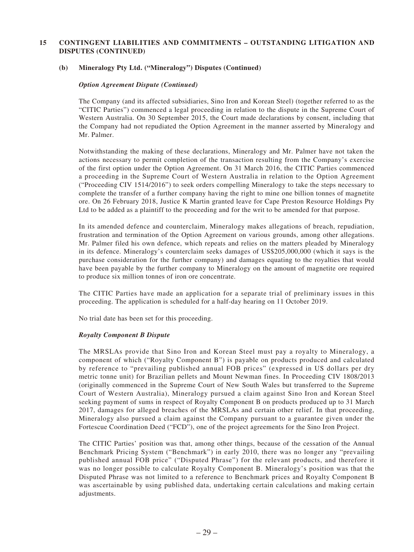#### **(b) Mineralogy Pty Ltd. ("Mineralogy") Disputes (Continued)**

#### *Option Agreement Dispute (Continued)*

The Company (and its affected subsidiaries, Sino Iron and Korean Steel) (together referred to as the "CITIC Parties") commenced a legal proceeding in relation to the dispute in the Supreme Court of Western Australia. On 30 September 2015, the Court made declarations by consent, including that the Company had not repudiated the Option Agreement in the manner asserted by Mineralogy and Mr. Palmer.

Notwithstanding the making of these declarations, Mineralogy and Mr. Palmer have not taken the actions necessary to permit completion of the transaction resulting from the Company's exercise of the first option under the Option Agreement. On 31 March 2016, the CITIC Parties commenced a proceeding in the Supreme Court of Western Australia in relation to the Option Agreement ("Proceeding CIV 1514/2016") to seek orders compelling Mineralogy to take the steps necessary to complete the transfer of a further company having the right to mine one billion tonnes of magnetite ore. On 26 February 2018, Justice K Martin granted leave for Cape Preston Resource Holdings Pty Ltd to be added as a plaintiff to the proceeding and for the writ to be amended for that purpose.

In its amended defence and counterclaim, Mineralogy makes allegations of breach, repudiation, frustration and termination of the Option Agreement on various grounds, among other allegations. Mr. Palmer filed his own defence, which repeats and relies on the matters pleaded by Mineralogy in its defence. Mineralogy's counterclaim seeks damages of US\$205,000,000 (which it says is the purchase consideration for the further company) and damages equating to the royalties that would have been payable by the further company to Mineralogy on the amount of magnetite ore required to produce six million tonnes of iron ore concentrate.

The CITIC Parties have made an application for a separate trial of preliminary issues in this proceeding. The application is scheduled for a half-day hearing on 11 October 2019.

No trial date has been set for this proceeding.

#### *Royalty Component B Dispute*

The MRSLAs provide that Sino Iron and Korean Steel must pay a royalty to Mineralogy, a component of which ("Royalty Component B") is payable on products produced and calculated by reference to "prevailing published annual FOB prices" (expressed in US dollars per dry metric tonne unit) for Brazilian pellets and Mount Newman fines. In Proceeding CIV 1808/2013 (originally commenced in the Supreme Court of New South Wales but transferred to the Supreme Court of Western Australia), Mineralogy pursued a claim against Sino Iron and Korean Steel seeking payment of sums in respect of Royalty Component B on products produced up to 31 March 2017, damages for alleged breaches of the MRSLAs and certain other relief. In that proceeding, Mineralogy also pursued a claim against the Company pursuant to a guarantee given under the Fortescue Coordination Deed ("FCD"), one of the project agreements for the Sino Iron Project.

The CITIC Parties' position was that, among other things, because of the cessation of the Annual Benchmark Pricing System ("Benchmark") in early 2010, there was no longer any "prevailing published annual FOB price" ("Disputed Phrase") for the relevant products, and therefore it was no longer possible to calculate Royalty Component B. Mineralogy's position was that the Disputed Phrase was not limited to a reference to Benchmark prices and Royalty Component B was ascertainable by using published data, undertaking certain calculations and making certain adjustments.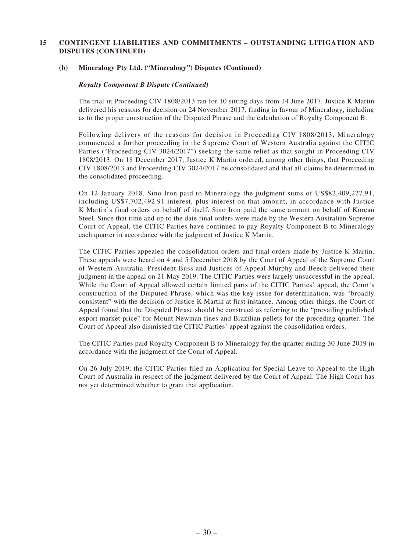#### **(b) Mineralogy Pty Ltd. ("Mineralogy") Disputes (Continued)**

#### *Royalty Component B Dispute (Continued)*

The trial in Proceeding CIV 1808/2013 ran for 10 sitting days from 14 June 2017. Justice K Martin delivered his reasons for decision on 24 November 2017, finding in favour of Mineralogy, including as to the proper construction of the Disputed Phrase and the calculation of Royalty Component B.

Following delivery of the reasons for decision in Proceeding CIV 1808/2013, Mineralogy commenced a further proceeding in the Supreme Court of Western Australia against the CITIC Parties ("Proceeding CIV 3024/2017") seeking the same relief as that sought in Proceeding CIV 1808/2013. On 18 December 2017, Justice K Martin ordered, among other things, that Proceeding CIV 1808/2013 and Proceeding CIV 3024/2017 be consolidated and that all claims be determined in the consolidated proceeding.

On 12 January 2018, Sino Iron paid to Mineralogy the judgment sums of US\$82,409,227.91, including US\$7,702,492.91 interest, plus interest on that amount, in accordance with Justice K Martin's final orders on behalf of itself. Sino Iron paid the same amount on behalf of Korean Steel. Since that time and up to the date final orders were made by the Western Australian Supreme Court of Appeal, the CITIC Parties have continued to pay Royalty Component B to Mineralogy each quarter in accordance with the judgment of Justice K Martin.

The CITIC Parties appealed the consolidation orders and final orders made by Justice K Martin. These appeals were heard on 4 and 5 December 2018 by the Court of Appeal of the Supreme Court of Western Australia. President Buss and Justices of Appeal Murphy and Beech delivered their judgment in the appeal on 21 May 2019. The CITIC Parties were largely unsuccessful in the appeal. While the Court of Appeal allowed certain limited parts of the CITIC Parties' appeal, the Court's construction of the Disputed Phrase, which was the key issue for determination, was "broadly consistent" with the decision of Justice K Martin at first instance. Among other things, the Court of Appeal found that the Disputed Phrase should be construed as referring to the "prevailing published export market price" for Mount Newman fines and Brazilian pellets for the preceding quarter. The Court of Appeal also dismissed the CITIC Parties' appeal against the consolidation orders.

The CITIC Parties paid Royalty Component B to Mineralogy for the quarter ending 30 June 2019 in accordance with the judgment of the Court of Appeal.

On 26 July 2019, the CITIC Parties filed an Application for Special Leave to Appeal to the High Court of Australia in respect of the judgment delivered by the Court of Appeal. The High Court has not yet determined whether to grant that application.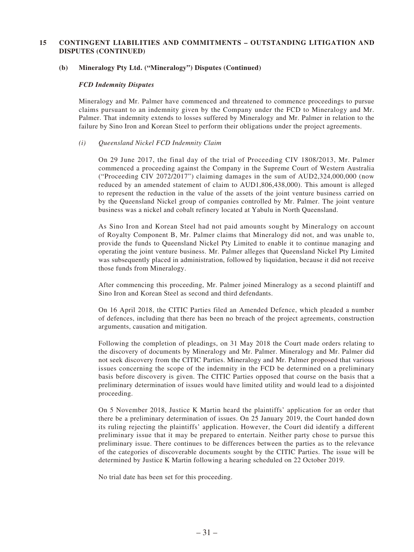#### **(b) Mineralogy Pty Ltd. ("Mineralogy") Disputes (Continued)**

#### *FCD Indemnity Disputes*

Mineralogy and Mr. Palmer have commenced and threatened to commence proceedings to pursue claims pursuant to an indemnity given by the Company under the FCD to Mineralogy and Mr. Palmer. That indemnity extends to losses suffered by Mineralogy and Mr. Palmer in relation to the failure by Sino Iron and Korean Steel to perform their obligations under the project agreements.

#### *(i) Queensland Nickel FCD Indemnity Claim*

On 29 June 2017, the final day of the trial of Proceeding CIV 1808/2013, Mr. Palmer commenced a proceeding against the Company in the Supreme Court of Western Australia ("Proceeding CIV 2072/2017") claiming damages in the sum of AUD2,324,000,000 (now reduced by an amended statement of claim to AUD1,806,438,000). This amount is alleged to represent the reduction in the value of the assets of the joint venture business carried on by the Queensland Nickel group of companies controlled by Mr. Palmer. The joint venture business was a nickel and cobalt refinery located at Yabulu in North Queensland.

As Sino Iron and Korean Steel had not paid amounts sought by Mineralogy on account of Royalty Component B, Mr. Palmer claims that Mineralogy did not, and was unable to, provide the funds to Queensland Nickel Pty Limited to enable it to continue managing and operating the joint venture business. Mr. Palmer alleges that Queensland Nickel Pty Limited was subsequently placed in administration, followed by liquidation, because it did not receive those funds from Mineralogy.

After commencing this proceeding, Mr. Palmer joined Mineralogy as a second plaintiff and Sino Iron and Korean Steel as second and third defendants.

On 16 April 2018, the CITIC Parties filed an Amended Defence, which pleaded a number of defences, including that there has been no breach of the project agreements, construction arguments, causation and mitigation.

Following the completion of pleadings, on 31 May 2018 the Court made orders relating to the discovery of documents by Mineralogy and Mr. Palmer. Mineralogy and Mr. Palmer did not seek discovery from the CITIC Parties. Mineralogy and Mr. Palmer proposed that various issues concerning the scope of the indemnity in the FCD be determined on a preliminary basis before discovery is given. The CITIC Parties opposed that course on the basis that a preliminary determination of issues would have limited utility and would lead to a disjointed proceeding.

On 5 November 2018, Justice K Martin heard the plaintiffs' application for an order that there be a preliminary determination of issues. On 25 January 2019, the Court handed down its ruling rejecting the plaintiffs' application. However, the Court did identify a different preliminary issue that it may be prepared to entertain. Neither party chose to pursue this preliminary issue. There continues to be differences between the parties as to the relevance of the categories of discoverable documents sought by the CITIC Parties. The issue will be determined by Justice K Martin following a hearing scheduled on 22 October 2019.

No trial date has been set for this proceeding.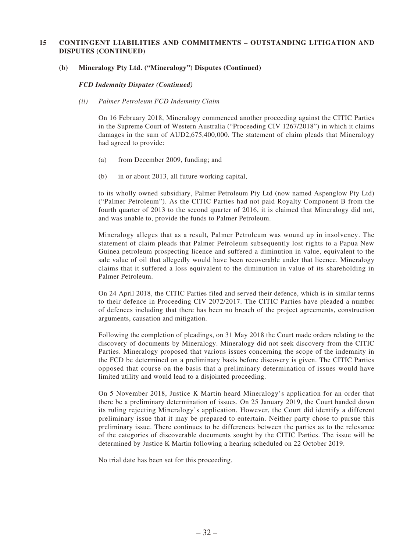#### **(b) Mineralogy Pty Ltd. ("Mineralogy") Disputes (Continued)**

*FCD Indemnity Disputes (Continued)*

*(ii) Palmer Petroleum FCD Indemnity Claim*

On 16 February 2018, Mineralogy commenced another proceeding against the CITIC Parties in the Supreme Court of Western Australia ("Proceeding CIV 1267/2018") in which it claims damages in the sum of AUD2,675,400,000. The statement of claim pleads that Mineralogy had agreed to provide:

- (a) from December 2009, funding; and
- (b) in or about 2013, all future working capital,

to its wholly owned subsidiary, Palmer Petroleum Pty Ltd (now named Aspenglow Pty Ltd) ("Palmer Petroleum"). As the CITIC Parties had not paid Royalty Component B from the fourth quarter of 2013 to the second quarter of 2016, it is claimed that Mineralogy did not, and was unable to, provide the funds to Palmer Petroleum.

Mineralogy alleges that as a result, Palmer Petroleum was wound up in insolvency. The statement of claim pleads that Palmer Petroleum subsequently lost rights to a Papua New Guinea petroleum prospecting licence and suffered a diminution in value, equivalent to the sale value of oil that allegedly would have been recoverable under that licence. Mineralogy claims that it suffered a loss equivalent to the diminution in value of its shareholding in Palmer Petroleum.

On 24 April 2018, the CITIC Parties filed and served their defence, which is in similar terms to their defence in Proceeding CIV 2072/2017. The CITIC Parties have pleaded a number of defences including that there has been no breach of the project agreements, construction arguments, causation and mitigation.

Following the completion of pleadings, on 31 May 2018 the Court made orders relating to the discovery of documents by Mineralogy. Mineralogy did not seek discovery from the CITIC Parties. Mineralogy proposed that various issues concerning the scope of the indemnity in the FCD be determined on a preliminary basis before discovery is given. The CITIC Parties opposed that course on the basis that a preliminary determination of issues would have limited utility and would lead to a disjointed proceeding.

On 5 November 2018, Justice K Martin heard Mineralogy's application for an order that there be a preliminary determination of issues. On 25 January 2019, the Court handed down its ruling rejecting Mineralogy's application. However, the Court did identify a different preliminary issue that it may be prepared to entertain. Neither party chose to pursue this preliminary issue. There continues to be differences between the parties as to the relevance of the categories of discoverable documents sought by the CITIC Parties. The issue will be determined by Justice K Martin following a hearing scheduled on 22 October 2019.

No trial date has been set for this proceeding.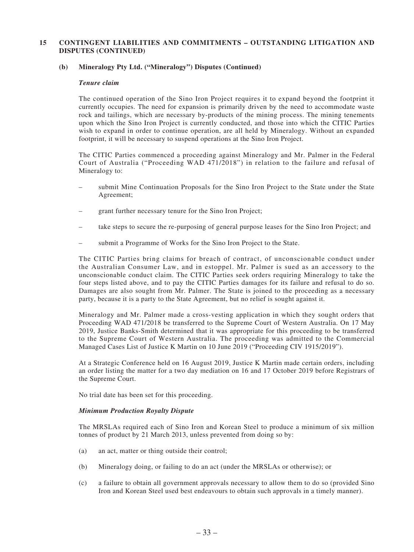#### **(b) Mineralogy Pty Ltd. ("Mineralogy") Disputes (Continued)**

#### *Tenure claim*

The continued operation of the Sino Iron Project requires it to expand beyond the footprint it currently occupies. The need for expansion is primarily driven by the need to accommodate waste rock and tailings, which are necessary by-products of the mining process. The mining tenements upon which the Sino Iron Project is currently conducted, and those into which the CITIC Parties wish to expand in order to continue operation, are all held by Mineralogy. Without an expanded footprint, it will be necessary to suspend operations at the Sino Iron Project.

The CITIC Parties commenced a proceeding against Mineralogy and Mr. Palmer in the Federal Court of Australia ("Proceeding WAD 471/2018") in relation to the failure and refusal of Mineralogy to:

- submit Mine Continuation Proposals for the Sino Iron Project to the State under the State Agreement;
- grant further necessary tenure for the Sino Iron Project;
- take steps to secure the re-purposing of general purpose leases for the Sino Iron Project; and
- submit a Programme of Works for the Sino Iron Project to the State.

The CITIC Parties bring claims for breach of contract, of unconscionable conduct under the Australian Consumer Law, and in estoppel. Mr. Palmer is sued as an accessory to the unconscionable conduct claim. The CITIC Parties seek orders requiring Mineralogy to take the four steps listed above, and to pay the CITIC Parties damages for its failure and refusal to do so. Damages are also sought from Mr. Palmer. The State is joined to the proceeding as a necessary party, because it is a party to the State Agreement, but no relief is sought against it.

Mineralogy and Mr. Palmer made a cross-vesting application in which they sought orders that Proceeding WAD 471/2018 be transferred to the Supreme Court of Western Australia. On 17 May 2019, Justice Banks-Smith determined that it was appropriate for this proceeding to be transferred to the Supreme Court of Western Australia. The proceeding was admitted to the Commercial Managed Cases List of Justice K Martin on 10 June 2019 ("Proceeding CIV 1915/2019").

At a Strategic Conference held on 16 August 2019, Justice K Martin made certain orders, including an order listing the matter for a two day mediation on 16 and 17 October 2019 before Registrars of the Supreme Court.

No trial date has been set for this proceeding.

#### *Minimum Production Royalty Dispute*

The MRSLAs required each of Sino Iron and Korean Steel to produce a minimum of six million tonnes of product by 21 March 2013, unless prevented from doing so by:

- (a) an act, matter or thing outside their control;
- (b) Mineralogy doing, or failing to do an act (under the MRSLAs or otherwise); or
- (c) a failure to obtain all government approvals necessary to allow them to do so (provided Sino Iron and Korean Steel used best endeavours to obtain such approvals in a timely manner).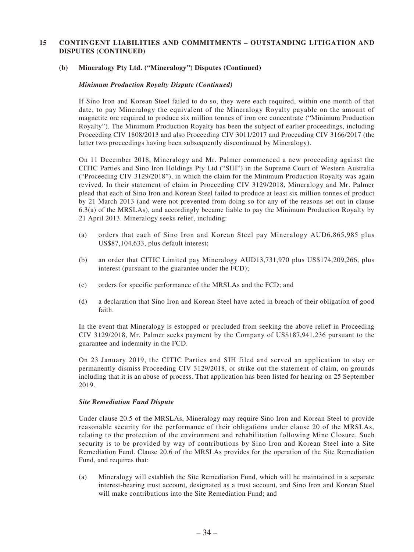#### **(b) Mineralogy Pty Ltd. ("Mineralogy") Disputes (Continued)**

#### *Minimum Production Royalty Dispute (Continued)*

If Sino Iron and Korean Steel failed to do so, they were each required, within one month of that date, to pay Mineralogy the equivalent of the Mineralogy Royalty payable on the amount of magnetite ore required to produce six million tonnes of iron ore concentrate ("Minimum Production Royalty"). The Minimum Production Royalty has been the subject of earlier proceedings, including Proceeding CIV 1808/2013 and also Proceeding CIV 3011/2017 and Proceeding CIV 3166/2017 (the latter two proceedings having been subsequently discontinued by Mineralogy).

On 11 December 2018, Mineralogy and Mr. Palmer commenced a new proceeding against the CITIC Parties and Sino Iron Holdings Pty Ltd ("SIH") in the Supreme Court of Western Australia ("Proceeding CIV 3129/2018"), in which the claim for the Minimum Production Royalty was again revived. In their statement of claim in Proceeding CIV 3129/2018, Mineralogy and Mr. Palmer plead that each of Sino Iron and Korean Steel failed to produce at least six million tonnes of product by 21 March 2013 (and were not prevented from doing so for any of the reasons set out in clause 6.3(a) of the MRSLAs), and accordingly became liable to pay the Minimum Production Royalty by 21 April 2013. Mineralogy seeks relief, including:

- (a) orders that each of Sino Iron and Korean Steel pay Mineralogy AUD6,865,985 plus US\$87,104,633, plus default interest;
- (b) an order that CITIC Limited pay Mineralogy AUD13,731,970 plus US\$174,209,266, plus interest (pursuant to the guarantee under the FCD);
- (c) orders for specific performance of the MRSLAs and the FCD; and
- (d) a declaration that Sino Iron and Korean Steel have acted in breach of their obligation of good faith.

In the event that Mineralogy is estopped or precluded from seeking the above relief in Proceeding CIV 3129/2018, Mr. Palmer seeks payment by the Company of US\$187,941,236 pursuant to the guarantee and indemnity in the FCD.

On 23 January 2019, the CITIC Parties and SIH filed and served an application to stay or permanently dismiss Proceeding CIV 3129/2018, or strike out the statement of claim, on grounds including that it is an abuse of process. That application has been listed for hearing on 25 September 2019.

#### *Site Remediation Fund Dispute*

Under clause 20.5 of the MRSLAs, Mineralogy may require Sino Iron and Korean Steel to provide reasonable security for the performance of their obligations under clause 20 of the MRSLAs, relating to the protection of the environment and rehabilitation following Mine Closure. Such security is to be provided by way of contributions by Sino Iron and Korean Steel into a Site Remediation Fund. Clause 20.6 of the MRSLAs provides for the operation of the Site Remediation Fund, and requires that:

(a) Mineralogy will establish the Site Remediation Fund, which will be maintained in a separate interest-bearing trust account, designated as a trust account, and Sino Iron and Korean Steel will make contributions into the Site Remediation Fund; and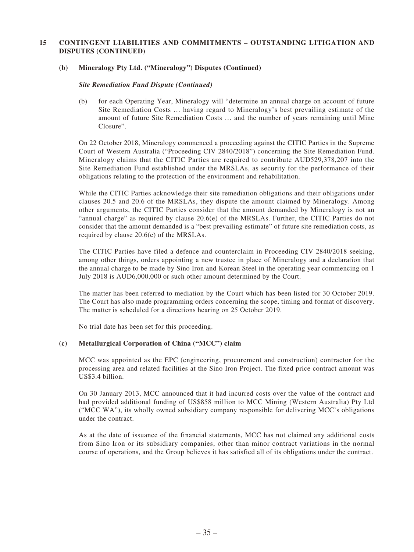#### **(b) Mineralogy Pty Ltd. ("Mineralogy") Disputes (Continued)**

#### *Site Remediation Fund Dispute (Continued)*

(b) for each Operating Year, Mineralogy will "determine an annual charge on account of future Site Remediation Costs … having regard to Mineralogy's best prevailing estimate of the amount of future Site Remediation Costs … and the number of years remaining until Mine Closure".

On 22 October 2018, Mineralogy commenced a proceeding against the CITIC Parties in the Supreme Court of Western Australia ("Proceeding CIV 2840/2018") concerning the Site Remediation Fund. Mineralogy claims that the CITIC Parties are required to contribute AUD529,378,207 into the Site Remediation Fund established under the MRSLAs, as security for the performance of their obligations relating to the protection of the environment and rehabilitation.

While the CITIC Parties acknowledge their site remediation obligations and their obligations under clauses 20.5 and 20.6 of the MRSLAs, they dispute the amount claimed by Mineralogy. Among other arguments, the CITIC Parties consider that the amount demanded by Mineralogy is not an "annual charge" as required by clause  $20.6(e)$  of the MRSLAs. Further, the CITIC Parties do not consider that the amount demanded is a "best prevailing estimate" of future site remediation costs, as required by clause 20.6(e) of the MRSLAs.

The CITIC Parties have filed a defence and counterclaim in Proceeding CIV 2840/2018 seeking, among other things, orders appointing a new trustee in place of Mineralogy and a declaration that the annual charge to be made by Sino Iron and Korean Steel in the operating year commencing on 1 July 2018 is AUD6,000,000 or such other amount determined by the Court.

The matter has been referred to mediation by the Court which has been listed for 30 October 2019. The Court has also made programming orders concerning the scope, timing and format of discovery. The matter is scheduled for a directions hearing on 25 October 2019.

No trial date has been set for this proceeding.

### **(c) Metallurgical Corporation of China ("MCC") claim**

MCC was appointed as the EPC (engineering, procurement and construction) contractor for the processing area and related facilities at the Sino Iron Project. The fixed price contract amount was US\$3.4 billion.

On 30 January 2013, MCC announced that it had incurred costs over the value of the contract and had provided additional funding of US\$858 million to MCC Mining (Western Australia) Pty Ltd ("MCC WA"), its wholly owned subsidiary company responsible for delivering MCC's obligations under the contract.

As at the date of issuance of the financial statements, MCC has not claimed any additional costs from Sino Iron or its subsidiary companies, other than minor contract variations in the normal course of operations, and the Group believes it has satisfied all of its obligations under the contract.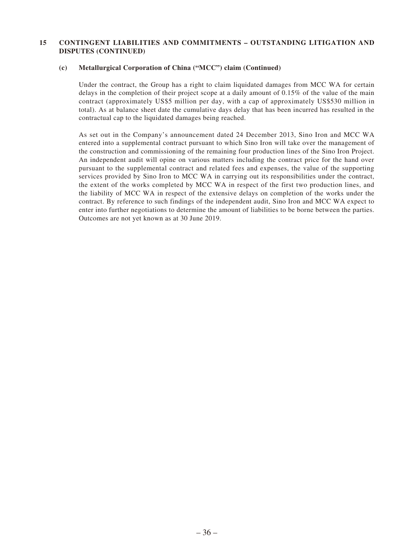#### **(c) Metallurgical Corporation of China ("MCC") claim (Continued)**

Under the contract, the Group has a right to claim liquidated damages from MCC WA for certain delays in the completion of their project scope at a daily amount of 0.15% of the value of the main contract (approximately US\$5 million per day, with a cap of approximately US\$530 million in total). As at balance sheet date the cumulative days delay that has been incurred has resulted in the contractual cap to the liquidated damages being reached.

As set out in the Company's announcement dated 24 December 2013, Sino Iron and MCC WA entered into a supplemental contract pursuant to which Sino Iron will take over the management of the construction and commissioning of the remaining four production lines of the Sino Iron Project. An independent audit will opine on various matters including the contract price for the hand over pursuant to the supplemental contract and related fees and expenses, the value of the supporting services provided by Sino Iron to MCC WA in carrying out its responsibilities under the contract, the extent of the works completed by MCC WA in respect of the first two production lines, and the liability of MCC WA in respect of the extensive delays on completion of the works under the contract. By reference to such findings of the independent audit, Sino Iron and MCC WA expect to enter into further negotiations to determine the amount of liabilities to be borne between the parties. Outcomes are not yet known as at 30 June 2019.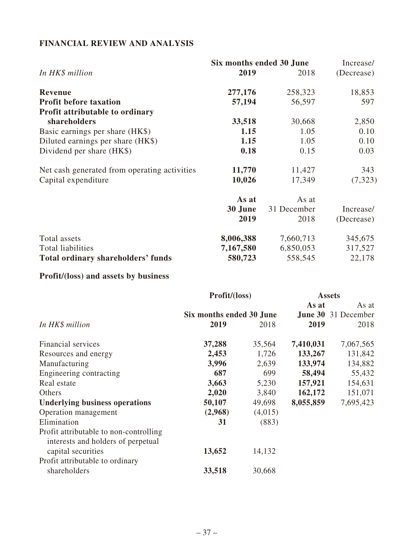## **FINANCIAL REVIEW AND ANALYSIS**

|                                              |           | Six months ended 30 June |            |  |
|----------------------------------------------|-----------|--------------------------|------------|--|
| In HK\$ million                              | 2019      | 2018                     | (Decrease) |  |
| <b>Revenue</b>                               | 277,176   | 258,323                  | 18,853     |  |
| <b>Profit before taxation</b>                | 57,194    | 56,597                   | 597        |  |
| <b>Profit attributable to ordinary</b>       |           |                          |            |  |
| shareholders                                 | 33,518    | 30,668                   | 2,850      |  |
| Basic earnings per share (HK\$)              | 1.15      | 1.05                     | 0.10       |  |
| Diluted earnings per share (HK\$)            | 1.15      | 1.05                     | 0.10       |  |
| Dividend per share (HK\$)                    | 0.18      | 0.15                     | 0.03       |  |
| Net cash generated from operating activities | 11,770    | 11,427                   | 343        |  |
| Capital expenditure                          | 10,026    | 17,349                   | (7, 323)   |  |
|                                              | As at     | As at                    |            |  |
|                                              | 30 June   | 31 December              | Increase/  |  |
|                                              | 2019      | 2018                     | (Decrease) |  |
| Total assets                                 | 8,006,388 | 7,660,713                | 345,675    |  |
| Total liabilities                            | 7,167,580 | 6,850,053                | 317,527    |  |
| Total ordinary shareholders' funds           | 580,723   | 558,545                  | 22,178     |  |

# **Profit/(loss) and assets by business**

|                                                                              | Profit/(loss)            |         | <b>Assets</b> |                            |
|------------------------------------------------------------------------------|--------------------------|---------|---------------|----------------------------|
|                                                                              |                          |         | As at         | As at                      |
|                                                                              | Six months ended 30 June |         |               | <b>June 30</b> 31 December |
| In HK\$ million                                                              | 2019                     | 2018    | 2019          | 2018                       |
| Financial services                                                           | 37,288                   | 35,564  | 7,410,031     | 7,067,565                  |
| Resources and energy                                                         | 2,453                    | 1,726   | 133,267       | 131,842                    |
| Manufacturing                                                                | 3,996                    | 2,639   | 133,974       | 134,882                    |
| Engineering contracting                                                      | 687                      | 699     | 58,494        | 55,432                     |
| Real estate                                                                  | 3,663                    | 5,230   | 157,921       | 154,631                    |
| Others                                                                       | 2,020                    | 3,840   | 162,172       | 151,071                    |
| <b>Underlying business operations</b>                                        | 50,107                   | 49,698  | 8,055,859     | 7,695,423                  |
| Operation management                                                         | (2,968)                  | (4,015) |               |                            |
| Elimination                                                                  | 31                       | (883)   |               |                            |
| Profit attributable to non-controlling<br>interests and holders of perpetual |                          |         |               |                            |
| capital securities                                                           | 13,652                   | 14,132  |               |                            |
| Profit attributable to ordinary                                              |                          |         |               |                            |
| shareholders                                                                 | 33,518                   | 30,668  |               |                            |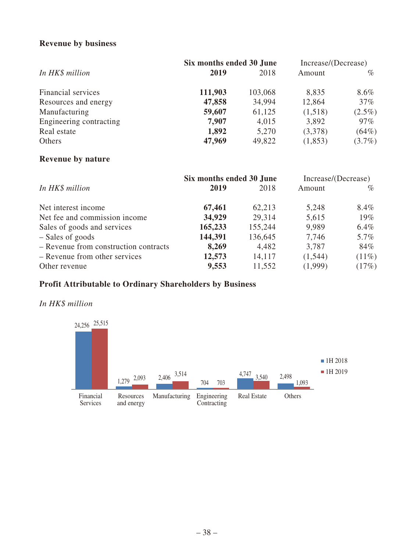## **Revenue by business**

|                         | Six months ended 30 June | Increase/(Decrease) |         |           |
|-------------------------|--------------------------|---------------------|---------|-----------|
| In HK\$ million         | 2019                     | 2018                | Amount  | $\%$      |
| Financial services      | 111,903                  | 103,068             | 8,835   | $8.6\%$   |
| Resources and energy    | 47,858                   | 34,994              | 12,864  | $37\%$    |
| Manufacturing           | 59,607                   | 61,125              | (1,518) | $(2.5\%)$ |
| Engineering contracting | 7,907                    | 4,015               | 3,892   | $97\%$    |
| Real estate             | 1,892                    | 5,270               | (3,378) | (64%)     |
| Others                  | 47,969                   | 49,822              | (1,853) | $(3.7\%)$ |

## **Revenue by nature**

|                                       | Six months ended 30 June |         | Increase/(Decrease) |          |
|---------------------------------------|--------------------------|---------|---------------------|----------|
| In HK\$ million                       | 2019                     | 2018    | Amount              | $\%$     |
| Net interest income                   | 67,461                   | 62,213  | 5,248               | 8.4%     |
| Net fee and commission income         | 34,929                   | 29,314  | 5,615               | $19\%$   |
| Sales of goods and services           | 165,233                  | 155,244 | 9,989               | $6.4\%$  |
| - Sales of goods                      | 144,391                  | 136,645 | 7,746               | $5.7\%$  |
| - Revenue from construction contracts | 8,269                    | 4,482   | 3,787               | 84%      |
| - Revenue from other services         | 12,573                   | 14,117  | (1,544)             | $(11\%)$ |
| Other revenue                         | 9,553                    | 11,552  | (1,999)             | (17%)    |

## **Profit Attributable to Ordinary Shareholders by Business**

## *In HK\$ million*

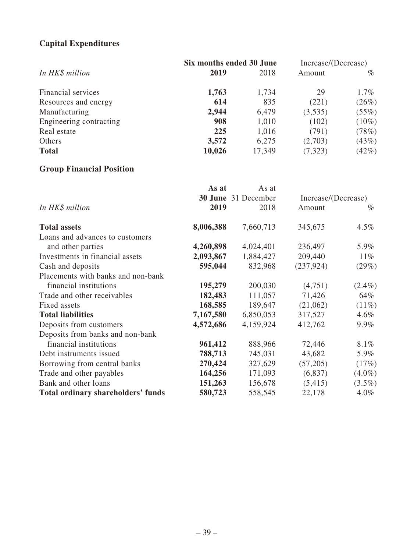## **Capital Expenditures**

|                         | Six months ended 30 June |        | Increase/(Decrease) |          |
|-------------------------|--------------------------|--------|---------------------|----------|
| In HK\$ million         | 2019                     | 2018   | Amount              | $\%$     |
| Financial services      | 1,763                    | 1,734  | 29                  | $1.7\%$  |
| Resources and energy    | 614                      | 835    | (221)               | (26%)    |
| Manufacturing           | 2,944                    | 6,479  | (3,535)             | (55%)    |
| Engineering contracting | 908                      | 1,010  | (102)               | $(10\%)$ |
| Real estate             | 225                      | 1,016  | (791)               | (78%)    |
| Others                  | 3,572                    | 6,275  | (2,703)             | (43%)    |
| <b>Total</b>            | 10,026                   | 17,349 | (7, 323)            | (42%)    |

## **Group Financial Position**

|                                           | As at     | As at                      |                     |           |
|-------------------------------------------|-----------|----------------------------|---------------------|-----------|
|                                           |           | <b>30 June</b> 31 December | Increase/(Decrease) |           |
| In HK\$ million                           | 2019      | 2018                       | Amount              | $\%$      |
| <b>Total assets</b>                       | 8,006,388 | 7,660,713                  | 345,675             | $4.5\%$   |
| Loans and advances to customers           |           |                            |                     |           |
| and other parties                         | 4,260,898 | 4,024,401                  | 236,497             | 5.9%      |
| Investments in financial assets           | 2,093,867 | 1,884,427                  | 209,440             | $11\%$    |
| Cash and deposits                         | 595,044   | 832,968                    | (237, 924)          | (29%)     |
| Placements with banks and non-bank        |           |                            |                     |           |
| financial institutions                    | 195,279   | 200,030                    | (4,751)             | $(2.4\%)$ |
| Trade and other receivables               | 182,483   | 111,057                    | 71,426              | 64%       |
| Fixed assets                              | 168,585   | 189,647                    | (21,062)            | $(11\%)$  |
| <b>Total liabilities</b>                  | 7,167,580 | 6,850,053                  | 317,527             | $4.6\%$   |
| Deposits from customers                   | 4,572,686 | 4,159,924                  | 412,762             | $9.9\%$   |
| Deposits from banks and non-bank          |           |                            |                     |           |
| financial institutions                    | 961,412   | 888,966                    | 72,446              | 8.1%      |
| Debt instruments issued                   | 788,713   | 745,031                    | 43,682              | 5.9%      |
| Borrowing from central banks              | 270,424   | 327,629                    | (57,205)            | (17%)     |
| Trade and other payables                  | 164,256   | 171,093                    | (6,837)             | $(4.0\%)$ |
| Bank and other loans                      | 151,263   | 156,678                    | (5,415)             | $(3.5\%)$ |
| <b>Total ordinary shareholders' funds</b> | 580,723   | 558,545                    | 22,178              | $4.0\%$   |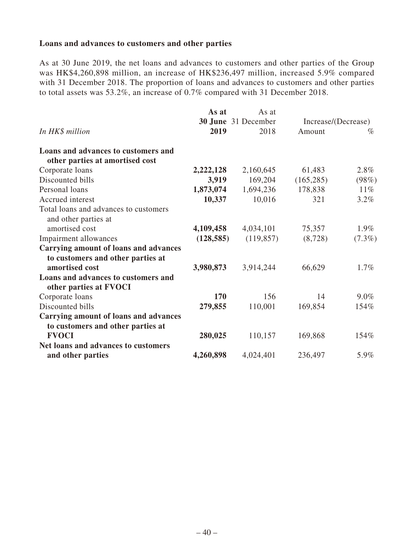### **Loans and advances to customers and other parties**

As at 30 June 2019, the net loans and advances to customers and other parties of the Group was HK\$4,260,898 million, an increase of HK\$236,497 million, increased 5.9% compared with 31 December 2018. The proportion of loans and advances to customers and other parties to total assets was 53.2%, an increase of 0.7% compared with 31 December 2018.

|                                       | As at      | As at               |                     |           |
|---------------------------------------|------------|---------------------|---------------------|-----------|
|                                       |            | 30 June 31 December | Increase/(Decrease) |           |
| In HK\$ million                       | 2019       | 2018                | Amount              | $\%$      |
| Loans and advances to customers and   |            |                     |                     |           |
| other parties at amortised cost       |            |                     |                     |           |
| Corporate loans                       | 2,222,128  | 2,160,645           | 61,483              | $2.8\%$   |
| Discounted bills                      | 3,919      | 169,204             | (165, 285)          | (98%)     |
| Personal loans                        | 1,873,074  | 1,694,236           | 178,838             | $11\%$    |
| Accrued interest                      | 10,337     | 10,016              | 321                 | $3.2\%$   |
| Total loans and advances to customers |            |                     |                     |           |
| and other parties at                  |            |                     |                     |           |
| amortised cost                        | 4,109,458  | 4,034,101           | 75,357              | $1.9\%$   |
| Impairment allowances                 | (128, 585) | (119, 857)          | (8,728)             | $(7.3\%)$ |
| Carrying amount of loans and advances |            |                     |                     |           |
| to customers and other parties at     |            |                     |                     |           |
| amortised cost                        | 3,980,873  | 3,914,244           | 66,629              | $1.7\%$   |
| Loans and advances to customers and   |            |                     |                     |           |
| other parties at FVOCI                |            |                     |                     |           |
| Corporate loans                       | <b>170</b> | 156                 | 14                  | $9.0\%$   |
| Discounted bills                      | 279,855    | 110,001             | 169,854             | 154%      |
| Carrying amount of loans and advances |            |                     |                     |           |
| to customers and other parties at     |            |                     |                     |           |
| <b>FVOCI</b>                          | 280,025    | 110,157             | 169,868             | 154%      |
| Net loans and advances to customers   |            |                     |                     |           |
| and other parties                     | 4,260,898  | 4,024,401           | 236,497             | 5.9%      |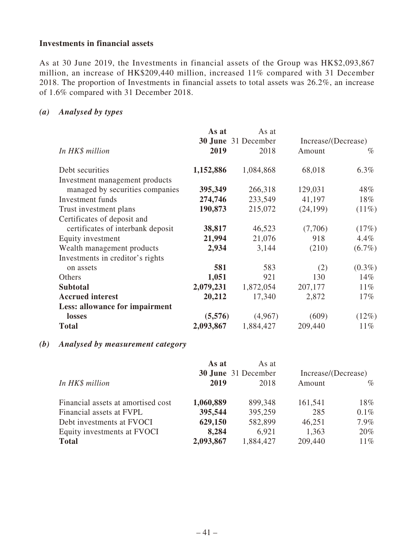### **Investments in financial assets**

As at 30 June 2019, the Investments in financial assets of the Group was HK\$2,093,867 million, an increase of HK\$209,440 million, increased 11% compared with 31 December 2018. The proportion of Investments in financial assets to total assets was 26.2%, an increase of 1.6% compared with 31 December 2018.

## *(a) Analysed by types*

|                                   | As at     | As at                      |                     |           |
|-----------------------------------|-----------|----------------------------|---------------------|-----------|
|                                   |           | <b>30 June</b> 31 December | Increase/(Decrease) |           |
| In HK\$ million                   | 2019      | 2018                       | Amount              | $\%$      |
| Debt securities                   | 1,152,886 | 1,084,868                  | 68,018              | 6.3%      |
| Investment management products    |           |                            |                     |           |
| managed by securities companies   | 395,349   | 266,318                    | 129,031             | 48%       |
| Investment funds                  | 274,746   | 233,549                    | 41,197              | 18%       |
| Trust investment plans            | 190,873   | 215,072                    | (24, 199)           | $(11\%)$  |
| Certificates of deposit and       |           |                            |                     |           |
| certificates of interbank deposit | 38,817    | 46,523                     | (7,706)             | (17%)     |
| Equity investment                 | 21,994    | 21,076                     | 918                 | $4.4\%$   |
| Wealth management products        | 2,934     | 3,144                      | (210)               | $(6.7\%)$ |
| Investments in creditor's rights  |           |                            |                     |           |
| on assets                         | 581       | 583                        | (2)                 | $(0.3\%)$ |
| Others                            | 1,051     | 921                        | 130                 | $14\%$    |
| <b>Subtotal</b>                   | 2,079,231 | 1,872,054                  | 207,177             | $11\%$    |
| <b>Accrued</b> interest           | 20,212    | 17,340                     | 2,872               | $17\%$    |
| Less: allowance for impairment    |           |                            |                     |           |
| losses                            | (5,576)   | (4,967)                    | (609)               | (12%)     |
| <b>Total</b>                      | 2,093,867 | 1,884,427                  | 209,440             | $11\%$    |

### *(b) Analysed by measurement category*

|                                    | As at     | As at<br><b>30 June</b> 31 December |         | Increase/(Decrease) |
|------------------------------------|-----------|-------------------------------------|---------|---------------------|
| In HK\$ million                    | 2019      | 2018                                | Amount  | $\%$                |
| Financial assets at amortised cost | 1,060,889 | 899,348                             | 161,541 | 18%                 |
| Financial assets at FVPL           | 395,544   | 395,259                             | 285     | $0.1\%$             |
| Debt investments at FVOCI          | 629,150   | 582,899                             | 46,251  | $7.9\%$             |
| Equity investments at FVOCI        | 8,284     | 6,921                               | 1,363   | $20\%$              |
| <b>Total</b>                       | 2,093,867 | 1,884,427                           | 209,440 | $11\%$              |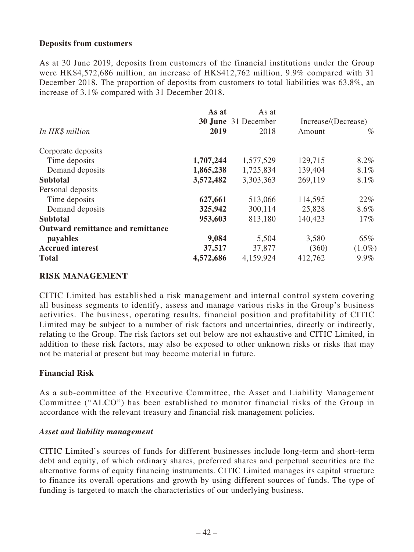### **Deposits from customers**

As at 30 June 2019, deposits from customers of the financial institutions under the Group were HK\$4,572,686 million, an increase of HK\$412,762 million, 9.9% compared with 31 December 2018. The proportion of deposits from customers to total liabilities was 63.8%, an increase of 3.1% compared with 31 December 2018.

|                                   | As at     | As at                      |                     |           |
|-----------------------------------|-----------|----------------------------|---------------------|-----------|
|                                   |           | <b>30 June</b> 31 December | Increase/(Decrease) |           |
| In HK\$ million                   | 2019      | 2018                       | Amount              | $\%$      |
| Corporate deposits                |           |                            |                     |           |
| Time deposits                     | 1,707,244 | 1,577,529                  | 129,715             | $8.2\%$   |
| Demand deposits                   | 1,865,238 | 1,725,834                  | 139,404             | $8.1\%$   |
| <b>Subtotal</b>                   | 3,572,482 | 3,303,363                  | 269,119             | 8.1%      |
| Personal deposits                 |           |                            |                     |           |
| Time deposits                     | 627,661   | 513,066                    | 114,595             | 22%       |
| Demand deposits                   | 325,942   | 300,114                    | 25,828              | 8.6%      |
| <b>Subtotal</b>                   | 953,603   | 813,180                    | 140,423             | $17\%$    |
| Outward remittance and remittance |           |                            |                     |           |
| payables                          | 9,084     | 5,504                      | 3,580               | 65%       |
| <b>Accrued</b> interest           | 37,517    | 37,877                     | (360)               | $(1.0\%)$ |
| <b>Total</b>                      | 4,572,686 | 4,159,924                  | 412,762             | $9.9\%$   |

### **RISK MANAGEMENT**

CITIC Limited has established a risk management and internal control system covering all business segments to identify, assess and manage various risks in the Group's business activities. The business, operating results, financial position and profitability of CITIC Limited may be subject to a number of risk factors and uncertainties, directly or indirectly, relating to the Group. The risk factors set out below are not exhaustive and CITIC Limited, in addition to these risk factors, may also be exposed to other unknown risks or risks that may not be material at present but may become material in future.

### **Financial Risk**

As a sub-committee of the Executive Committee, the Asset and Liability Management Committee ("ALCO") has been established to monitor financial risks of the Group in accordance with the relevant treasury and financial risk management policies.

### *Asset and liability management*

CITIC Limited's sources of funds for different businesses include long-term and short-term debt and equity, of which ordinary shares, preferred shares and perpetual securities are the alternative forms of equity financing instruments. CITIC Limited manages its capital structure to finance its overall operations and growth by using different sources of funds. The type of funding is targeted to match the characteristics of our underlying business.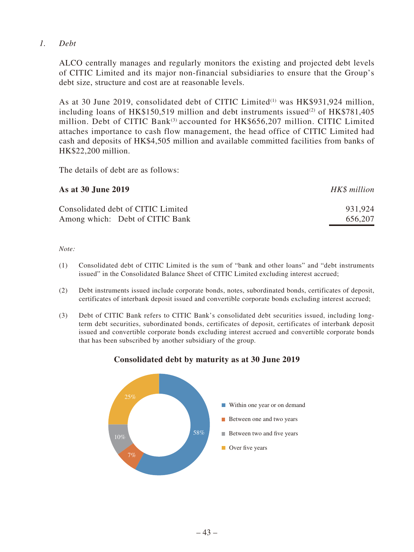## *1. Debt*

ALCO centrally manages and regularly monitors the existing and projected debt levels of CITIC Limited and its major non-financial subsidiaries to ensure that the Group's debt size, structure and cost are at reasonable levels.

As at 30 June 2019, consolidated debt of CITIC Limited<sup>(1)</sup> was HK\$931,924 million, including loans of HK\$150,519 million and debt instruments issued<sup>(2)</sup> of HK\$781,405 million. Debt of CITIC Bank<sup>(3)</sup> accounted for HK\$656.207 million. CITIC Limited attaches importance to cash flow management, the head office of CITIC Limited had cash and deposits of HK\$4,505 million and available committed facilities from banks of HK\$22,200 million.

The details of debt are as follows:

| As at 30 June 2019                 | HK\$ million |
|------------------------------------|--------------|
| Consolidated debt of CITIC Limited | 931.924      |
| Among which: Debt of CITIC Bank    | 656,207      |

### *Note:*

- (1) Consolidated debt of CITIC Limited is the sum of "bank and other loans" and "debt instruments issued" in the Consolidated Balance Sheet of CITIC Limited excluding interest accrued;
- (2) Debt instruments issued include corporate bonds, notes, subordinated bonds, certificates of deposit, certificates of interbank deposit issued and convertible corporate bonds excluding interest accrued;
- (3) Debt of CITIC Bank refers to CITIC Bank's consolidated debt securities issued, including longterm debt securities, subordinated bonds, certificates of deposit, certificates of interbank deposit issued and convertible corporate bonds excluding interest accrued and convertible corporate bonds that has been subscribed by another subsidiary of the group.



## **Consolidated debt by maturity as at 30 June 2019**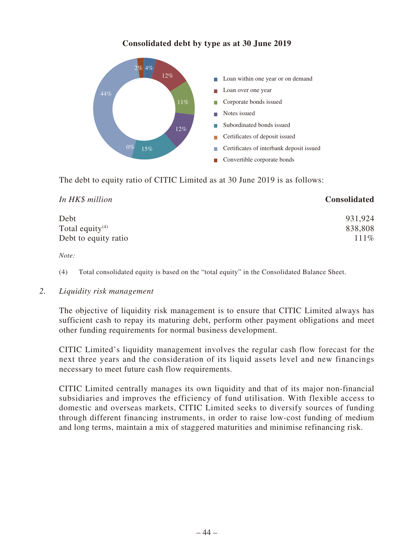## **Consolidated debt by type as at 30 June 2019**



The debt to equity ratio of CITIC Limited as at 30 June 2019 is as follows:

| In HK\$ million             | <b>Consolidated</b> |
|-----------------------------|---------------------|
| Debt                        | 931,924             |
| Total equity <sup>(4)</sup> | 838,808             |
| Debt to equity ratio        | 111%                |

*Note:*

(4) Total consolidated equity is based on the "total equity" in the Consolidated Balance Sheet.

### *2. Liquidity risk management*

The objective of liquidity risk management is to ensure that CITIC Limited always has sufficient cash to repay its maturing debt, perform other payment obligations and meet other funding requirements for normal business development.

CITIC Limited's liquidity management involves the regular cash flow forecast for the next three years and the consideration of its liquid assets level and new financings necessary to meet future cash flow requirements.

CITIC Limited centrally manages its own liquidity and that of its major non-financial subsidiaries and improves the efficiency of fund utilisation. With flexible access to domestic and overseas markets, CITIC Limited seeks to diversify sources of funding through different financing instruments, in order to raise low-cost funding of medium and long terms, maintain a mix of staggered maturities and minimise refinancing risk.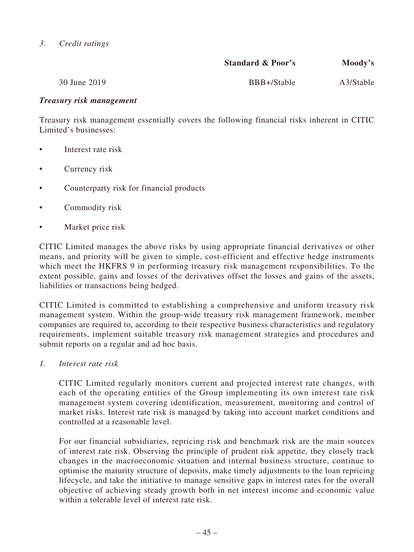## *3. Credit ratings*

|              | <b>Standard &amp; Poor's</b> | Moody's   |
|--------------|------------------------------|-----------|
| 30 June 2019 | BBB+/Stable                  | A3/Stable |

### *Treasury risk management*

Treasury risk management essentially covers the following financial risks inherent in CITIC Limited's businesses:

- Interest rate risk
- Currency risk
- Counterparty risk for financial products
- Commodity risk
- Market price risk

CITIC Limited manages the above risks by using appropriate financial derivatives or other means, and priority will be given to simple, cost-efficient and effective hedge instruments which meet the HKFRS 9 in performing treasury risk management responsibilities. To the extent possible, gains and losses of the derivatives offset the losses and gains of the assets, liabilities or transactions being hedged.

CITIC Limited is committed to establishing a comprehensive and uniform treasury risk management system. Within the group-wide treasury risk management framework, member companies are required to, according to their respective business characteristics and regulatory requirements, implement suitable treasury risk management strategies and procedures and submit reports on a regular and ad hoc basis.

*1. Interest rate risk*

CITIC Limited regularly monitors current and projected interest rate changes, with each of the operating entities of the Group implementing its own interest rate risk management system covering identification, measurement, monitoring and control of market risks. Interest rate risk is managed by taking into account market conditions and controlled at a reasonable level.

For our financial subsidiaries, repricing risk and benchmark risk are the main sources of interest rate risk. Observing the principle of prudent risk appetite, they closely track changes in the macroeconomic situation and internal business structure, continue to optimise the maturity structure of deposits, make timely adjustments to the loan repricing lifecycle, and take the initiative to manage sensitive gaps in interest rates for the overall objective of achieving steady growth both in net interest income and economic value within a tolerable level of interest rate risk.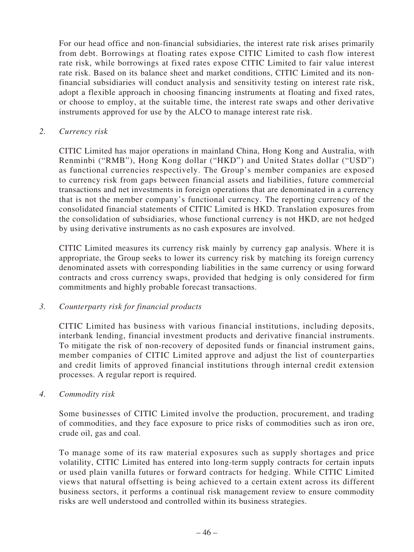For our head office and non-financial subsidiaries, the interest rate risk arises primarily from debt. Borrowings at floating rates expose CITIC Limited to cash flow interest rate risk, while borrowings at fixed rates expose CITIC Limited to fair value interest rate risk. Based on its balance sheet and market conditions, CITIC Limited and its nonfinancial subsidiaries will conduct analysis and sensitivity testing on interest rate risk, adopt a flexible approach in choosing financing instruments at floating and fixed rates, or choose to employ, at the suitable time, the interest rate swaps and other derivative instruments approved for use by the ALCO to manage interest rate risk.

*2. Currency risk*

CITIC Limited has major operations in mainland China, Hong Kong and Australia, with Renminbi ("RMB"), Hong Kong dollar ("HKD") and United States dollar ("USD") as functional currencies respectively. The Group's member companies are exposed to currency risk from gaps between financial assets and liabilities, future commercial transactions and net investments in foreign operations that are denominated in a currency that is not the member company's functional currency. The reporting currency of the consolidated financial statements of CITIC Limited is HKD. Translation exposures from the consolidation of subsidiaries, whose functional currency is not HKD, are not hedged by using derivative instruments as no cash exposures are involved.

CITIC Limited measures its currency risk mainly by currency gap analysis. Where it is appropriate, the Group seeks to lower its currency risk by matching its foreign currency denominated assets with corresponding liabilities in the same currency or using forward contracts and cross currency swaps, provided that hedging is only considered for firm commitments and highly probable forecast transactions.

## *3. Counterparty risk for financial products*

CITIC Limited has business with various financial institutions, including deposits, interbank lending, financial investment products and derivative financial instruments. To mitigate the risk of non-recovery of deposited funds or financial instrument gains, member companies of CITIC Limited approve and adjust the list of counterparties and credit limits of approved financial institutions through internal credit extension processes. A regular report is required.

*4. Commodity risk*

Some businesses of CITIC Limited involve the production, procurement, and trading of commodities, and they face exposure to price risks of commodities such as iron ore, crude oil, gas and coal.

To manage some of its raw material exposures such as supply shortages and price volatility, CITIC Limited has entered into long-term supply contracts for certain inputs or used plain vanilla futures or forward contracts for hedging. While CITIC Limited views that natural offsetting is being achieved to a certain extent across its different business sectors, it performs a continual risk management review to ensure commodity risks are well understood and controlled within its business strategies.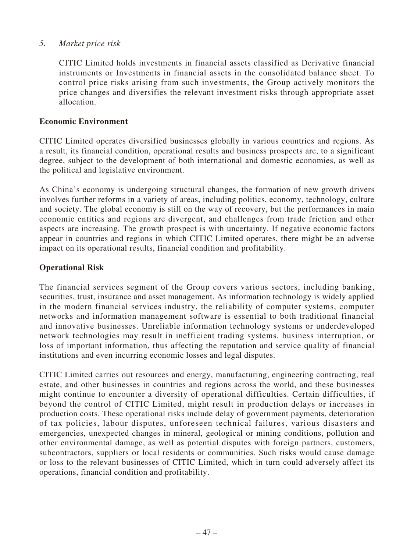### *5. Market price risk*

CITIC Limited holds investments in financial assets classified as Derivative financial instruments or Investments in financial assets in the consolidated balance sheet. To control price risks arising from such investments, the Group actively monitors the price changes and diversifies the relevant investment risks through appropriate asset allocation.

### **Economic Environment**

CITIC Limited operates diversified businesses globally in various countries and regions. As a result, its financial condition, operational results and business prospects are, to a significant degree, subject to the development of both international and domestic economies, as well as the political and legislative environment.

As China's economy is undergoing structural changes, the formation of new growth drivers involves further reforms in a variety of areas, including politics, economy, technology, culture and society. The global economy is still on the way of recovery, but the performances in main economic entities and regions are divergent, and challenges from trade friction and other aspects are increasing. The growth prospect is with uncertainty. If negative economic factors appear in countries and regions in which CITIC Limited operates, there might be an adverse impact on its operational results, financial condition and profitability.

### **Operational Risk**

The financial services segment of the Group covers various sectors, including banking, securities, trust, insurance and asset management. As information technology is widely applied in the modern financial services industry, the reliability of computer systems, computer networks and information management software is essential to both traditional financial and innovative businesses. Unreliable information technology systems or underdeveloped network technologies may result in inefficient trading systems, business interruption, or loss of important information, thus affecting the reputation and service quality of financial institutions and even incurring economic losses and legal disputes.

CITIC Limited carries out resources and energy, manufacturing, engineering contracting, real estate, and other businesses in countries and regions across the world, and these businesses might continue to encounter a diversity of operational difficulties. Certain difficulties, if beyond the control of CITIC Limited, might result in production delays or increases in production costs. These operational risks include delay of government payments, deterioration of tax policies, labour disputes, unforeseen technical failures, various disasters and emergencies, unexpected changes in mineral, geological or mining conditions, pollution and other environmental damage, as well as potential disputes with foreign partners, customers, subcontractors, suppliers or local residents or communities. Such risks would cause damage or loss to the relevant businesses of CITIC Limited, which in turn could adversely affect its operations, financial condition and profitability.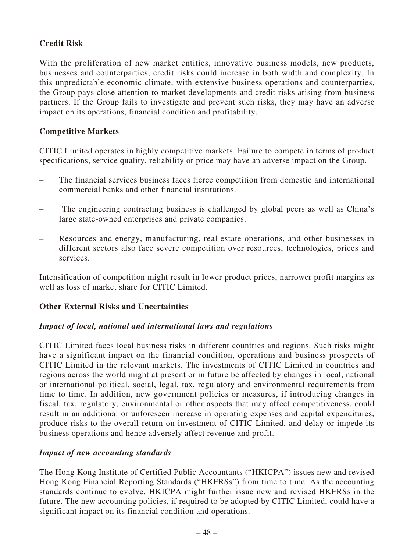## **Credit Risk**

With the proliferation of new market entities, innovative business models, new products, businesses and counterparties, credit risks could increase in both width and complexity. In this unpredictable economic climate, with extensive business operations and counterparties, the Group pays close attention to market developments and credit risks arising from business partners. If the Group fails to investigate and prevent such risks, they may have an adverse impact on its operations, financial condition and profitability.

### **Competitive Markets**

CITIC Limited operates in highly competitive markets. Failure to compete in terms of product specifications, service quality, reliability or price may have an adverse impact on the Group.

- The financial services business faces fierce competition from domestic and international commercial banks and other financial institutions.
- The engineering contracting business is challenged by global peers as well as China's large state-owned enterprises and private companies.
- Resources and energy, manufacturing, real estate operations, and other businesses in different sectors also face severe competition over resources, technologies, prices and services.

Intensification of competition might result in lower product prices, narrower profit margins as well as loss of market share for CITIC Limited.

## **Other External Risks and Uncertainties**

### *Impact of local, national and international laws and regulations*

CITIC Limited faces local business risks in different countries and regions. Such risks might have a significant impact on the financial condition, operations and business prospects of CITIC Limited in the relevant markets. The investments of CITIC Limited in countries and regions across the world might at present or in future be affected by changes in local, national or international political, social, legal, tax, regulatory and environmental requirements from time to time. In addition, new government policies or measures, if introducing changes in fiscal, tax, regulatory, environmental or other aspects that may affect competitiveness, could result in an additional or unforeseen increase in operating expenses and capital expenditures, produce risks to the overall return on investment of CITIC Limited, and delay or impede its business operations and hence adversely affect revenue and profit.

### *Impact of new accounting standards*

The Hong Kong Institute of Certified Public Accountants ("HKICPA") issues new and revised Hong Kong Financial Reporting Standards ("HKFRSs") from time to time. As the accounting standards continue to evolve, HKICPA might further issue new and revised HKFRSs in the future. The new accounting policies, if required to be adopted by CITIC Limited, could have a significant impact on its financial condition and operations.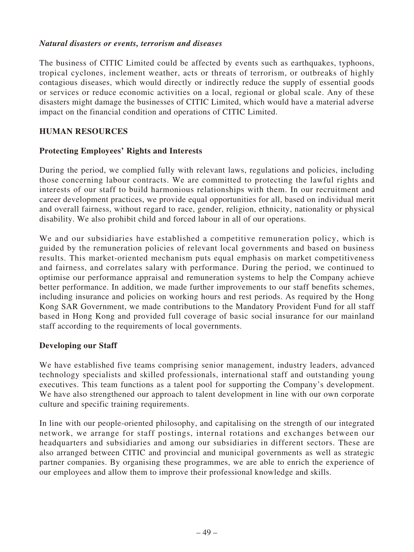### *Natural disasters or events, terrorism and diseases*

The business of CITIC Limited could be affected by events such as earthquakes, typhoons, tropical cyclones, inclement weather, acts or threats of terrorism, or outbreaks of highly contagious diseases, which would directly or indirectly reduce the supply of essential goods or services or reduce economic activities on a local, regional or global scale. Any of these disasters might damage the businesses of CITIC Limited, which would have a material adverse impact on the financial condition and operations of CITIC Limited.

### **HUMAN RESOURCES**

### **Protecting Employees' Rights and Interests**

During the period, we complied fully with relevant laws, regulations and policies, including those concerning labour contracts. We are committed to protecting the lawful rights and interests of our staff to build harmonious relationships with them. In our recruitment and career development practices, we provide equal opportunities for all, based on individual merit and overall fairness, without regard to race, gender, religion, ethnicity, nationality or physical disability. We also prohibit child and forced labour in all of our operations.

We and our subsidiaries have established a competitive remuneration policy, which is guided by the remuneration policies of relevant local governments and based on business results. This market-oriented mechanism puts equal emphasis on market competitiveness and fairness, and correlates salary with performance. During the period, we continued to optimise our performance appraisal and remuneration systems to help the Company achieve better performance. In addition, we made further improvements to our staff benefits schemes, including insurance and policies on working hours and rest periods. As required by the Hong Kong SAR Government, we made contributions to the Mandatory Provident Fund for all staff based in Hong Kong and provided full coverage of basic social insurance for our mainland staff according to the requirements of local governments.

## **Developing our Staff**

We have established five teams comprising senior management, industry leaders, advanced technology specialists and skilled professionals, international staff and outstanding young executives. This team functions as a talent pool for supporting the Company's development. We have also strengthened our approach to talent development in line with our own corporate culture and specific training requirements.

In line with our people-oriented philosophy, and capitalising on the strength of our integrated network, we arrange for staff postings, internal rotations and exchanges between our headquarters and subsidiaries and among our subsidiaries in different sectors. These are also arranged between CITIC and provincial and municipal governments as well as strategic partner companies. By organising these programmes, we are able to enrich the experience of our employees and allow them to improve their professional knowledge and skills.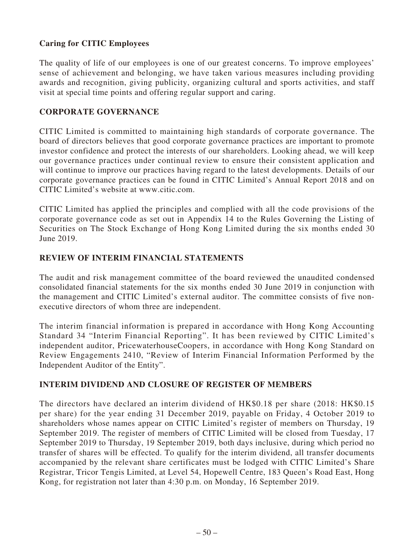## **Caring for CITIC Employees**

The quality of life of our employees is one of our greatest concerns. To improve employees' sense of achievement and belonging, we have taken various measures including providing awards and recognition, giving publicity, organizing cultural and sports activities, and staff visit at special time points and offering regular support and caring.

## **CORPORATE GOVERNANCE**

CITIC Limited is committed to maintaining high standards of corporate governance. The board of directors believes that good corporate governance practices are important to promote investor confidence and protect the interests of our shareholders. Looking ahead, we will keep our governance practices under continual review to ensure their consistent application and will continue to improve our practices having regard to the latest developments. Details of our corporate governance practices can be found in CITIC Limited's Annual Report 2018 and on CITIC Limited's website at www.citic.com.

CITIC Limited has applied the principles and complied with all the code provisions of the corporate governance code as set out in Appendix 14 to the Rules Governing the Listing of Securities on The Stock Exchange of Hong Kong Limited during the six months ended 30 June 2019.

## **REVIEW OF INTERIM FINANCIAL STATEMENTS**

The audit and risk management committee of the board reviewed the unaudited condensed consolidated financial statements for the six months ended 30 June 2019 in conjunction with the management and CITIC Limited's external auditor. The committee consists of five nonexecutive directors of whom three are independent.

The interim financial information is prepared in accordance with Hong Kong Accounting Standard 34 "Interim Financial Reporting". It has been reviewed by CITIC Limited's independent auditor, PricewaterhouseCoopers, in accordance with Hong Kong Standard on Review Engagements 2410, "Review of Interim Financial Information Performed by the Independent Auditor of the Entity".

## **INTERIM DIVIDEND AND CLOSURE OF REGISTER OF MEMBERS**

The directors have declared an interim dividend of HK\$0.18 per share (2018: HK\$0.15 per share) for the year ending 31 December 2019, payable on Friday, 4 October 2019 to shareholders whose names appear on CITIC Limited's register of members on Thursday, 19 September 2019. The register of members of CITIC Limited will be closed from Tuesday, 17 September 2019 to Thursday, 19 September 2019, both days inclusive, during which period no transfer of shares will be effected. To qualify for the interim dividend, all transfer documents accompanied by the relevant share certificates must be lodged with CITIC Limited's Share Registrar, Tricor Tengis Limited, at Level 54, Hopewell Centre, 183 Queen's Road East, Hong Kong, for registration not later than 4:30 p.m. on Monday, 16 September 2019.